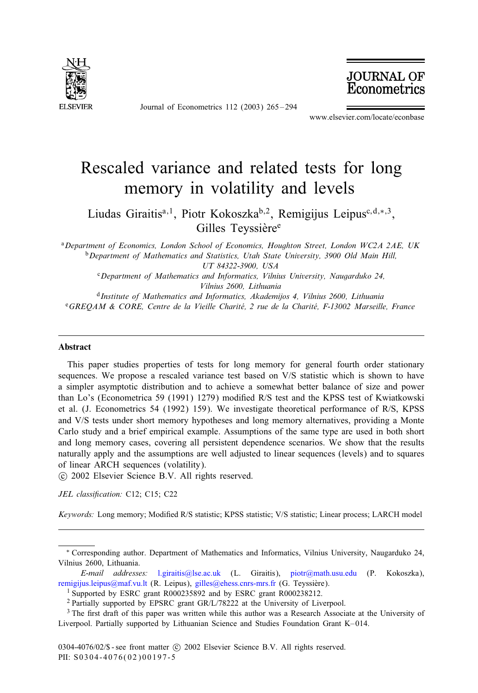

Journal of Econometrics 112 (2003) 265 – 294

**JOURNAL OF**<br>**Econometrics** 

www.elsevier.com/locate/econbase

# Rescaled variance and related tests for long memory in volatility and levels

Liudas Giraitis<sup>a,1</sup>, Piotr Kokoszka<sup>b,2</sup>, Remigijus Leipus<sup>c,d,∗,3</sup>, Gilles Teyssière<sup>e</sup>

<sup>a</sup>*Department of Economics, London School of Economics, Houghton Street, London WC2A 2AE, UK* <sup>b</sup>*Department of Mathematics and Statistics, Utah State University, 3900 Old Main Hill, UT 84322-3900, USA*

<sup>c</sup>*Department of Mathematics and Informatics, Vilnius University, Naugarduko 24, Vilnius 2600, Lithuania*

<sup>d</sup>*Institute of Mathematics and Informatics, Akademijos 4, Vilnius 2600, Lithuania*

<sup>e</sup>*GREQAM & CORE, Centre de la Vieille Charite, 2 rue de la Charit 3 e, F-13002 Marseille, France 3*

#### Abstract

This paper studies properties of tests for long memory for general fourth order stationary sequences. We propose a rescaled variance test based on V/S statistic which is shown to have a simpler asymptotic distribution and to achieve a somewhat better balance of size and power than Lo's (Econometrica 59 (1991) 1279) modified R/S test and the KPSS test of Kwiatkowski et al. (J. Econometrics 54 (1992) 159). We investigate theoretical performance of R/S, KPSS and V/S tests under short memory hypotheses and long memory alternatives, providing a Monte Carlo study and a brief empirical example. Assumptions of the same type are used in both short and long memory cases, covering all persistent dependence scenarios. We show that the results naturally apply and the assumptions are well adjusted to linear sequences (levels) and to squares of linear ARCH sequences (volatility).

c 2002 Elsevier Science B.V. All rights reserved.

JEL classification: C12; C15; C22

Keywords: [Long memory;](mailto:remigijus.leipus@maf.vu.lt) Modified [R/S](mailto:l.giraitis@lse.ac.uk)[statistic](mailto:l.giraitis@lse.ac.uk)[; KPSS statistic; V](mailto:gilles@ehess.cnrs-mrs.fr)/S [statistic;](mailto:piotr@math.usu.edu) [Linear](mailto:piotr@math.usu.edu) [proce](mailto:piotr@math.usu.edu)ss; LARCH model

<sup>∗</sup> Corresponding author. Department of Mathematics and Informatics, Vilnius University, Naugarduko 24, Vilnius 2600, Lithuania.

*E-mail addresses:* l.giraitis@lse.ac.uk (L. Giraitis), piotr@math.usu.edu (P. Kokoszka), remigijus.leipus@maf.vu.lt (R. Leipus), gilles@ehess.cnrs-mrs.fr (G. Teyssière).

<sup>1</sup> Supported by ESRC grant R000235892 and by ESRC grant R000238212.

<sup>2</sup> Partially supported by EPSRC grant GR/L/78222 at the University of Liverpool.

<sup>&</sup>lt;sup>3</sup> The first draft of this paper was written while this author was a Research Associate at the University of Liverpool. Partially supported by Lithuanian Science and Studies Foundation Grant K– 014.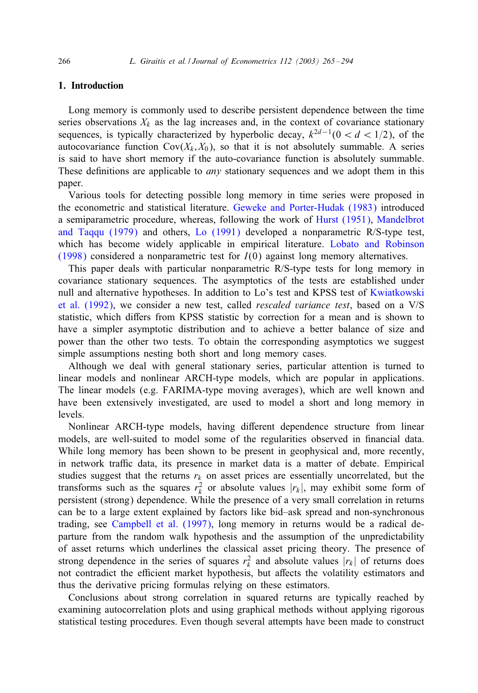266 *L. Giraitis et al. / Journal of Econometrics 112 (2003) 265 – 294*

# 1. Introduction

Long memory is commonly used to describe persistent dependence between the time series observations  $X_k$  as the lag increases and, in the context of covariance stationary sequences, is typically characterized by hyperbolic decay,  $k^{2d-1}(0 < d < 1/2)$ , of the autocovariance function  $Cov(X_k, X_0)$ , so [that it is not absolutely summable](#page-28-0). A series is said to have short memory if the auto-covariance functio[n is absolutely](#page-28-0) [summable.](#page-29-0) These def[in](#page-29-0)itions are applicable to *any* [stati](#page-28-0)onary sequences and [we](#page-29-0) [adopt](#page-29-0) [them](#page-29-0) in [this](#page-29-0) paper.

[Vario](#page-29-0)us tools for detecting possible long memory in time series were proposed in the econometric and statistical literature. Geweke and Porter-Hudak (1983) introduced a semiparametric procedure, whereas, following the work of Hurst (1951), Mandelbrot and Taqqu (1979) and others, Lo (1991) developed a nonparametric [R/S-type test,](#page-28-0) [which has be](#page-28-0)come widely applicable in empirical literature. Lobato and Robinson (1998) considered a nonparametric test for  $I(0)$  against long memory alternatives.

This paper deals with particular nonparametric R/S-type tests for long memory in covariance stationary sequences. The asymptotics of the tests are established under null and alternative hypotheses. In addition to Lo's test and KPSS test of Kwiatkowski et al. (1992), we consider a new test, called *rescaled variance test*, based on a V/S statistic, which diHers from KPSS statistic by correction for a mean and is shown to have a simpler asymptotic distribution and to achieve a better balance of size and power than the other two tests. To obtain the corresponding asymptotics we suggest simple assumptions nesting both short and long memory cases.

Although we deal with general stationary series, particular attention is turned to linear models and nonlinear ARCH-type models, which are popular in applications. The linear models (e.g. FARIMA-type moving averages), which are well known and have been extensively investigated, are used to model a short and long memory in levels.

Nonlinear ARCH-type models, having different dependence structure from linear models, are well-suited to model some of the regularities observed in financial data. While long memory has been shown to be present in geophysical and, more recently, in network traffic data, its presence in market data is a matter of debate. Empirical studies suggest that the returns  $r_k$  on asset prices are essentially uncorrelated, but the transforms such as the squares  $r_k^2$  or absolute values  $|r_k|$ , may exhibit some form of persistent (strong) dependence. While the presence of a very small correlation in returns can be to a large extent explained by factors like bid–ask spread and non-synchronous trading, see Campbell et al. (1997), long memory in returns would be a radical departure from the random walk hypothesis and the assumption of the unpredictability of asset returns which underlines the classical asset pricing theory. The presence of strong dependence in the series of squares  $r_k^2$  and absolute values  $|r_k|$  of returns does not contradict the efficient market hypothesis, but affects the volatility estimators and thus the derivative pricing formulas relying on these estimators.

Conclusions about strong correlation in squared returns are typically reached by examining autocorrelation plots and using graphical methods without applying rigorous statistical testing procedures. Even though several attempts have been made to construct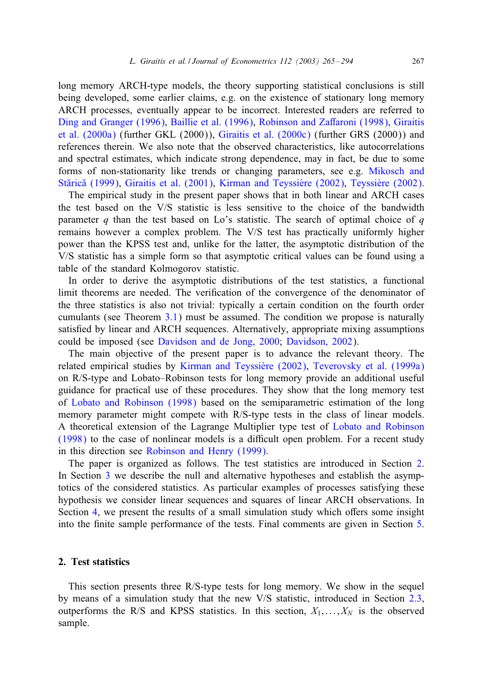long memory ARCH-type models, the theory supporting statistical conclusions is still being developed, some earlier claims, e.g. on the existence of stationary long memory ARCH processes, eventually appear to be incorrect. Interested readers [are](#page-29-0) [referred](#page-29-0) [to](#page-29-0) [Ding and Gran](#page-29-0)ger (1996), [Baillie et a](#page-28-0)l. (1996), Robinson and Zaffaro[ni \(1998\),](#page-29-0) Giraitis et al. (2000a) (further GKL (2000)), Giraitis et al. (2000c) (further GRS (2000)) and references therein. We also note that the observed characteristics, like autocorrelations and spectral estimates, which indicate strong dependence, may in fact, be due to some forms of non-stationarity like trends or changing parameters, see e.g. Mikosch and Stărică (1999), Giraitis et al. (2001), Kirman and Teyssière (2002), Teyssière (2002).

The empirical study in the present paper shows that in both linear and ARCH cases the test based on the V/S statistic is less sensitive to the choice of the bandwidth parameter q than the test based on Lo's statistic. The search of optimal choice of  $q$ remains however a complex problem. The V/S test has practically uniformly higher power than the KPSS test and, unlike for the latter, the asymptotic distribution of the V/S statistic has a simpl[e for](#page-10-0)m so that asymptotic critical values can be found using a table of the standard Kolmogorov statistic.

In order to derive t[he asymptotic distributions of the test statist](#page-28-0)ics, a functional limit theorems are needed. The verification of the convergence of the denominator of the three statistics is also n[ot trivial: typically a certain co](#page-28-0)[ndition on the fourth order](#page-29-0) cumulants (see Theorem 3.1) must be assumed. The condition we propose is naturally satisfied by linear and ARCH sequences. Alternatively, appropriate mixing assumptions co[uld be imposed \(see](#page-29-0) Davidson and de Jong, 2000; Davidson, 2002).

The main objective of the present paper is to advance the relevant theory. The related empirical studies by Kirman and Teyssière (2002), Tev[erovsky](#page-29-0) [et](#page-29-0) [al.](#page-29-0) [\(1999a\)](#page-29-0) [on R/S-](#page-29-0)type and Lobato–Robinson tests for long memory provide an additional useful guidance for practic[al use of these procedures. T](#page-29-0)hey show that the long memory test of Lobato and Robinson (1998) based on the semiparametric estimation of the long memory p[ara](#page-5-0)meter might compete with R/S-type tests in the class of linear models. A theoretical extension of the Lagrange Multiplier type test of Lobato and Robinson (1998) to the case of nonlinear models is a diIcult open problem. For a recent study in this [dir](#page-13-0)ection see Robinson and Henry (1999).

The paper is organized as follows. The test statistics are introduced in Section [2.](#page-24-0) In Section 3 we describe the null and alternative hypotheses and establish the asymptotics of the considered statistics. As particular examples of processes satisfying these hypothesis we consider linear sequences and squares of linear ARCH observations. In Section 4, we present the results of a small simulation study which offers some insight into the 6nite sample performance of the tests. Final comments are given in Section 5.

#### 2. Test statistics

This section presents three R/S-type tests for long memory. We show in the sequel by means of a simulation study that the new V/S statistic, introduced in Section 2.3, outperforms the R/S and KPSS statistics. In this section,  $X_1, \ldots, X_N$  is the observed sample.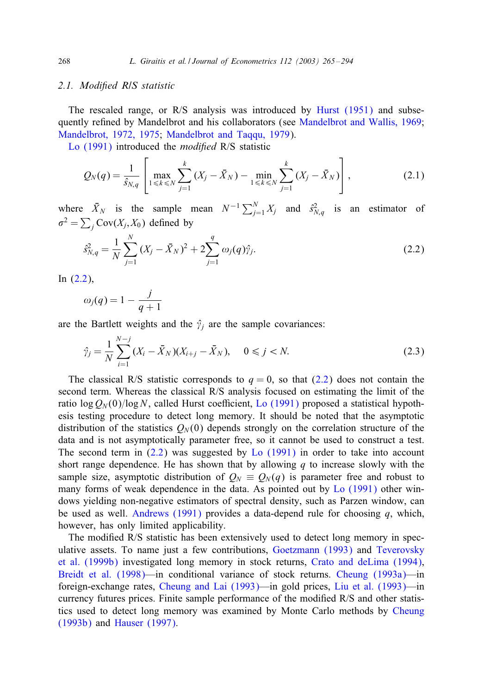#### *2.[1. Modi7ed](#page-28-0) R/S statistic*

The rescaled range, or R/S analysis was introduced by Hurst (1951) and subsequently refined by Mandelbrot and his collaborators (see Mandelbrot and Wallis, 1969; Mandelbrot, 1972, 1975; Mandelbrot and Taqqu, 1979).

Lo (1991) introduced the *modified* R/S statistic

$$
Q_N(q) = \frac{1}{\hat{s}_{N,q}} \left[ \max_{1 \le k \le N} \sum_{j=1}^k (X_j - \bar{X}_N) - \min_{1 \le k \le N} \sum_{j=1}^k (X_j - \bar{X}_N) \right],
$$
(2.1)

where  $\bar{X}_N$  is the sample mean  $N^{-1} \sum_{j=1}^N X_j$  and  $\hat{s}_{N,q}^2$  is an estimator of  $\sigma^2 = \sum_j \text{Cov}(X_j, X_0)$  defined by

$$
\hat{s}_{N,q}^2 = \frac{1}{N} \sum_{j=1}^N (X_j - \bar{X}_N)^2 + 2 \sum_{j=1}^q \omega_j(q) \hat{\gamma}_j.
$$
\n(2.2)

In (2.2),

$$
\omega_j(q) = 1 - \frac{j}{q+1}
$$

are the Bartlett weights and the  $\hat{\gamma}_i$  are the sample covariances:

$$
\hat{\gamma}_j = \frac{1}{N} \sum_{i=1}^{N-j} (X_i - \bar{X}_N)(X_{i+j} - \bar{X}_N), \quad 0 \le j < N. \tag{2.3}
$$

The classical R/S statistic corresponds to  $q = 0$ , so that (2.2) does not contain the second term. Whereas the classical R/S anal[ysis focused](#page-28-0) on estimating the limit of the ratio log  $Q_N(0)/\log N$ , called Hurst coefficient, Lo (1991) proposed a statistical hypothesis testing procedure to detect long memory. It should be noted that the asymptotic distribution of the statistics  $Q_N(0)$  depends strongly on the corr[elation struc](#page-28-0)ture of the data and is not asymptotically parameter free, so it cannot be used to construct a test. The second term in  $(2.2)$  was suggested by Lo  $(1991)$  in order to take into account short range dependence. He has shown that by allowing  $q$  to increase slowly with the sample size, asymptotic distribution of  $Q_N \equiv Q_N(q)$  is parameter free and robust to many forms of weak dependence in the data. As [pointed out by](#page-28-0) Lo (1991) [other win](#page-29-0)[dows yielding](#page-29-0) non-negative estimators of spectral density, s[uch as Parzen window, can](#page-28-0) [be used as well.](#page-27-0) Andrews (1991) provides a data-depend rule f[or choosing](#page-27-0)  $q$ , which, however, has only limi[ted applicability.](#page-28-0)

The modified R/S statistic has been extensively used to detect long memory in speculative assets. To name just a few contributions, Goetzmann (1993) and Te[verovsky](#page-27-0) [et al. \(1](#page-27-0)999b) [investigated l](#page-28-0)ong memory in stock returns, Crato and deLima (1994), Breidt et al. (1998)—in conditional variance of stock returns. Cheung (1993a)—in foreign-exchange rates, Cheung and Lai (1993)—in gold prices, Liu et al. (1993)—in currency futures prices. Finite sample performance of the modified R/S and other statistics used to detect long memory was examined by Monte Carlo methods by Cheung (1993b) and Hauser (1997).

<span id="page-3-0"></span>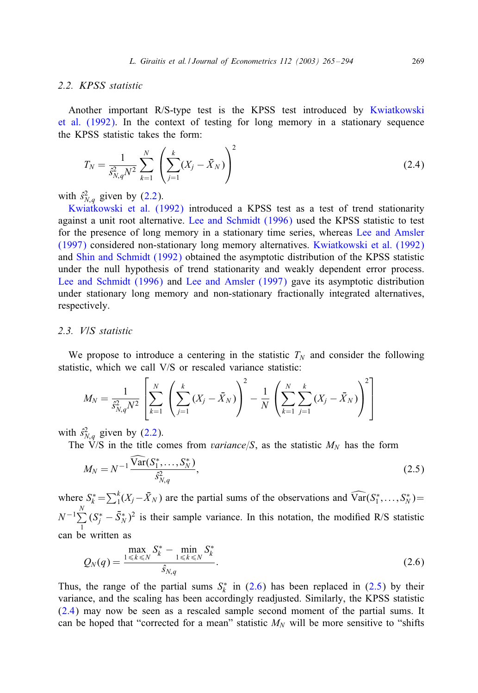#### <span id="page-4-0"></span>*2.2. KPSS statistic*

Another important R/S-type test is the KPSS test introduced by Kwiatkowski et al. (1992). In the context of testing for long memory in a stationary sequence the KPSS statistic t[akes](#page-3-0) the form:

$$
T_N = \frac{1}{\hat{s}_{N,q}^2 N^2} \sum_{k=1}^N \left( \sum_{j=1}^k (X_j - \bar{X}_N) \right)^2
$$
 (2.4)

with  $\hat{s}_{N,q}^2$  [given by \(2.2\).](#page-29-0)

Kwiatkowski et al. (1992) introduced a KPSS test as a test of trend stationarity [against a unit root alterna](#page-28-0)tive. [Lee and Schmidt \(1996](#page-28-0)) used the KPSS statistic to test for the presence of long memory in a stationary time series, whereas Lee and Amsler (1997) considered non-stationary long memory alternatives. Kwiatkowski et al. (1992) and Shin and Schmidt (1992) obtained the asymptotic distribution of the KPSS statistic under the null hypothesis of trend stationarity and weakly dependent error process. Lee and Schmidt (1996) and Lee and Amsler (1997) gave its asymptotic distribution under stationary long memory and non-stationary fractionally integrated alternatives, respectively.

## *2.3. V/S statistic*

We propose to introduce a centering in the statistic  $T_N$  and consider the following statistic, which we [call](#page-3-0) V/S or rescaled variance statistic:

$$
M_N = \frac{1}{\hat{s}_{N,q}^2 N^2} \left[ \sum_{k=1}^N \left( \sum_{j=1}^k (X_j - \bar{X}_N) \right)^2 - \frac{1}{N} \left( \sum_{k=1}^N \sum_{j=1}^k (X_j - \bar{X}_N) \right)^2 \right]
$$

with  $\hat{s}_{N,q}^2$  given by (2.2).

The V/S in the title comes from *variance*/S, as the statistic  $M_N$  has the form

$$
M_N = N^{-1} \frac{\text{Var}(S_1^*, \dots, S_N^*)}{\hat{S}_{N,q}^2},\tag{2.5}
$$

where  $S_k^* = \sum_{1}^{k} (X_j - \bar{X}_N)$  are the partial sums of the observations and  $\widehat{Var}(S_1^*, \ldots, S_N^*) =$  $N^{-1}\sum_{i=1}^{N}$ 1  $(S_j^* - \bar{S}_N^*)^2$  is their sample variance. In this notation, the modified R/S statistic can be written as

$$
Q_N(q) = \frac{\max_{1 \le k \le N} S_k^* - \min_{1 \le k \le N} S_k^*}{\hat{s}_{N,q}}.
$$
\n(2.6)

Thus, the range of the partial sums  $S_k^*$  in (2.6) has been replaced in (2.5) by their variance, and the scaling has been accordingly readjusted. Similarly, the KPSS statistic (2.4) may now be seen as a rescaled sample second moment of the partial sums. It can be hoped that "corrected for a mean" statistic  $M_N$  will be more sensitive to "shifts"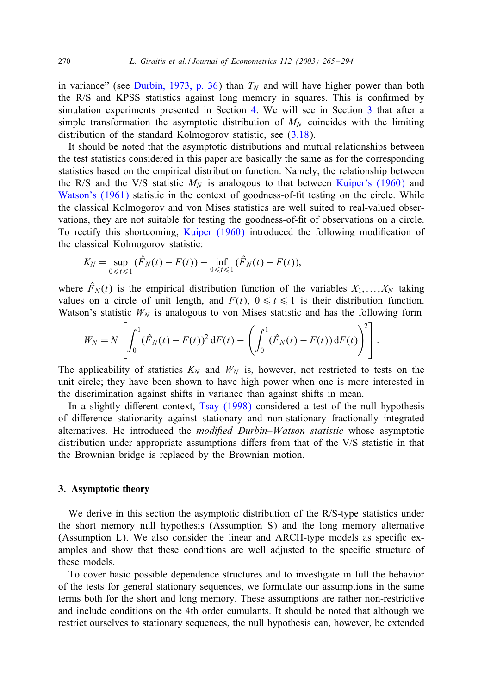<span id="page-5-0"></span>in variance" (see Durbin, 1973, p. 36) than  $T_N$  and will have higher power than both the R/S and KPSS statistics against long memory in squares. This is confirmed by simulation experiments presented in Section 4. We will see in Section 3 that after a simple transformation the asymptotic distribution of  $M_N$  coinci[des with the limi](#page-28-0)ting [distribution of th](#page-29-0)e standard Kolmogorov statistic, see (3.18).

It should be noted that the asymptotic distributions and mutual relationships between the test statistics considered in this paper are basically the same as for the corresponding statistics based on the empiri[cal distribution f](#page-28-0)unction. Namely, the relationship between the R/S and the V/S statistic  $M_N$  is analogous to that between Kuiper's (1960) and Watson's (1961) statistic in the context of goodness-of-fit testing on the circle. While the classical Kolmogorov and von Mises statistics are well suited to real-valued observations, they are not suitable for testing the goodness-of-6t of observations on a circle. To rectify this shortcoming, Kuiper (1960) introduced the following modification of the classical Kolmogorov statistic:

$$
K_N = \sup_{0 \leq t \leq 1} (\hat{F}_N(t) - F(t)) - \inf_{0 \leq t \leq 1} (\hat{F}_N(t) - F(t)),
$$

where  $\hat{F}_N(t)$  is the empirical distribution function of the variables  $X_1, \ldots, X_N$  taking values on a circle of unit length, and  $F(t)$ ,  $0 \le t \le 1$  is their distribution function. Watson's statistic  $W_N$  is analogous to von Mises statistic and has the following form

$$
W_N = N \left[ \int_0^1 (\hat{F}_N(t) - F(t))^2 dF(t) - \left( \int_0^1 (\hat{F}_N(t) - F(t)) dF(t) \right)^2 \right].
$$

The applicability of statistics  $K_N$  and  $W_N$  is, however, not restricted to tests on the unit circle; they have been shown to have high power when one is more interested in the discrimination against shifts in variance than against shifts in mean.

In a slightly different context, Tsay (1998) considered a test of the null hypothesis of diHerence stationarity against stationary and non-stationary fractionally integrated alternatives. He introduced the *modified Durbin–Watson statistic* whose asymptotic distribution under appropriate assumptions diHers from that of the V/S statistic in that the Brownian bridge is replaced by the Brownian motion.

#### 3. Asymptotic theory

We derive in this section the asymptotic distribution of the R/S-type statistics under the short memory null hypothesis (Assumption S) and the long memory alternative (Assumption L). We also consider the linear and ARCH-type models as specific examples and show that these conditions are well adjusted to the specific structure of these models.

To cover basic possible dependence structures and to investigate in full the behavior of the tests for general stationary sequences, we formulate our assumptions in the same terms both for the short and long memory. These assumptions are rather non-restrictive and include conditions on the 4th order cumulants. It should be noted that although we restrict ourselves to stationary sequences, the null hypothesis can, however, be extended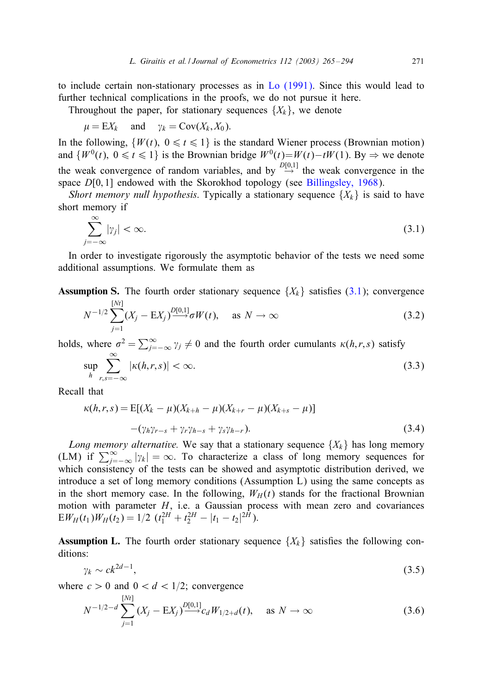<span id="page-6-0"></span>to include certain non-stationary processes as in Lo (1991). Since this would lead to further technical complications in the proofs, we do not pursue it here.

Throughout the paper, for stationary sequences  $\{X_k\}$ , [we](#page-27-0) [denote](#page-27-0)

$$
\mu = \mathbb{E}X_k
$$
 and  $\gamma_k = \text{Cov}(X_k, X_0)$ .

In the following,  $\{W(t), 0 \le t \le 1\}$  is the standard Wiener process (Brownian motion) and  $\{W^0(t), 0 \le t \le 1\}$  is the Brownian bridge  $W^0(t) = W(t) - tW(1)$ . By  $\Rightarrow$  we denote the weak convergence of random variables, and by  $\stackrel{D[0,1]}{\rightarrow}$  the weak convergence in the space  $D[0, 1]$  endowed with the Skorokhod topology (see Billingsley, 1968).

*Short memory null hypothesis.* Typically a stationary sequence  $\{X_k\}$  is said to have short memory if

$$
\sum_{j=-\infty}^{\infty} |\gamma_j| < \infty. \tag{3.1}
$$

In order to investigate rigorously the asymptotic behavior of the tests we need some additional assumptions. We formulate them as

**Assumption S.** The fourth order stationary sequence  $\{X_k\}$  satisfies (3.1); convergence

$$
N^{-1/2} \sum_{j=1}^{\lfloor Nt \rfloor} (X_j - \mathbb{E} X_j)^{\frac{D[0,1]}{2}} \sigma W(t), \quad \text{as } N \to \infty
$$
 (3.2)

holds, where  $\sigma^2 = \sum_{j=-\infty}^{\infty} \gamma_j \neq 0$  and the fourth order cumulants  $\kappa(h,r,s)$  satisfy

$$
\sup_{h} \sum_{r,s=-\infty}^{\infty} |\kappa(h,r,s)| < \infty. \tag{3.3}
$$

Recall that

 $[0, 1, 1]$ 

$$
\kappa(h,r,s) = \mathbb{E}[(X_k - \mu)(X_{k+h} - \mu)(X_{k+r} - \mu)(X_{k+s} - \mu)]
$$
  
-(\gamma\_h \gamma\_{r-s} + \gamma\_r \gamma\_{h-s} + \gamma\_s \gamma\_{h-r}). (3.4)

*Long memory alternative.* We say that a stationary sequence  $\{X_k\}$  has long memory (LM) if  $\sum_{j=-\infty}^{\infty} |y_k| = \infty$ . To characterize a class of long memory sequences for which consistency of the tests can be showed and asymptotic distribution derived, we introduce a set of long memory conditions (Assumption L) using the same concepts as in the short memory case. In the following,  $W_H(t)$  stands for the fractional Brownian motion with parameter  $H$ , i.e. a Gaussian process with mean zero and covariances  $EW_H(t_1)W_H(t_2)=1/2$   $(t_1^{2H}+t_2^{2H}-|t_1-t_2|^{2H}).$ 

**Assumption L.** The fourth order stationary sequence  $\{X_k\}$  satisfies the following conditions:

$$
\gamma_k \sim ck^{2d-1},\tag{3.5}
$$

where  $c > 0$  and  $0 < d < 1/2$ ; convergence

 $[0, 1, 1]$ 

$$
N^{-1/2-d} \sum_{j=1}^{[M]} (X_j - \mathbf{E}X_j)^{\mathbf{D}[0,1]} c_d W_{1/2+d}(t), \quad \text{as } N \to \infty
$$
 (3.6)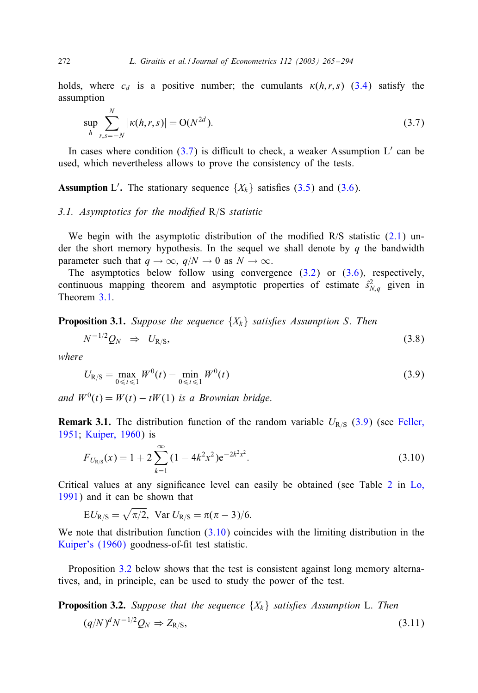<span id="page-7-0"></span>holds, where  $c_d$  is a positive number; the cumulants  $\kappa(h, r, s)$  (3.4) satisfy the assumption

$$
\sup_{h} \sum_{r,s=-N}^{N} |\kappa(h,r,s)| = O(N^{2d}).
$$
\n(3.7)

In cases where condition  $(3.7)$  is difficult to check, a weaker Assumption L' can be used, which nevertheless allows to prove the consistency of the tests.

**Assumption** L'. The stationary sequence  $\{X_k\}$  satisfies (3.5) and (3.6).

#### *3.1. Asymptotics for the modified* R/S *statistic*

We be[gin](#page-10-0) with the asymptotic distribution of the modified  $R/S$  statistic (2.1) under the short memory hypothesis. In the sequel we shall denote by  $q$  the bandwidth parameter such that  $q \to \infty$ ,  $q/N \to 0$  as  $N \to \infty$ .

The asymptotics below follow using convergence  $(3.2)$  or  $(3.6)$ , respectively, continuous mapping theorem and asymptotic properties of estimate  $\hat{s}_{N,q}^2$  given in Theorem 3.1.

**Proposition 3.1.** *Suppose the sequence*  $\{X_k\}$  *satisfies Assumption S. Then* 

$$
N^{-1/2}Q_N \Rightarrow U_{R/S},\tag{3.8}
$$

*where*

$$
U_{R/S} = \max_{0 \le t \le 1} W^0(t) - \min_{0 \le t \le 1} W^0(t)
$$
\n(3.9)

*and*  $W^0(t) = W(t) - tW(1)$  *is a Brownian bridge.* 

**[R](#page-28-0)emark 3.1.** The distribution function of the random variable  $U_{R/S}$  (3.9) (s[ee](#page-16-0) Feller, 1951; Kuiper, 1960) is

$$
F_{U_{R/S}}(x) = 1 + 2\sum_{k=1}^{\infty} (1 - 4k^2 x^2) e^{-2k^2 x^2}.
$$
 (3.10)

[Critical values a](#page-28-0)t any significance level can easily be obtained (see Table  $2$  in Lo, 1991) and it can be shown that

 $EU_{R/S} = \sqrt{\pi/2}$ , Var  $U_{R/S} = \pi(\pi-3)/6$ .

We note that distribution function  $(3.10)$  coincides with the limiting distribution in the Kuiper's (1960) goodness-of-fit test statistic.

Proposition 3.2 below shows that the test is consistent against long memory alternatives, and, in principle, can be used to study the power of the test.

**Proposition 3.2.** *Suppose that the sequence*  $\{X_k\}$  *satisfies Assumption* L. *Then* 

$$
(q/N)^d N^{-1/2} Q_N \Rightarrow Z_{R/S},\tag{3.11}
$$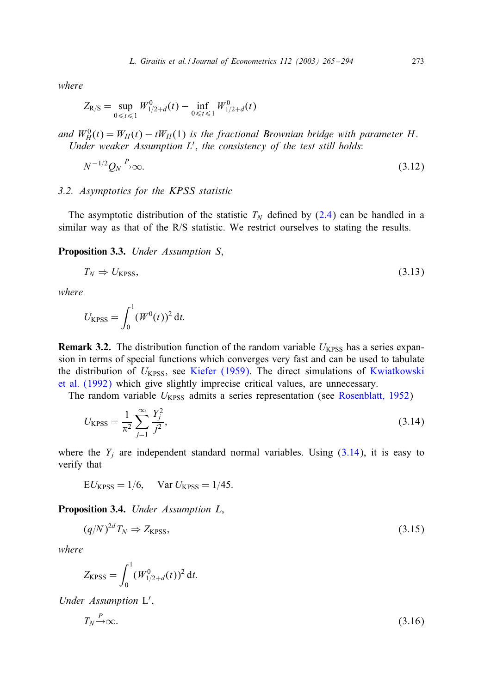<span id="page-8-0"></span>*where*

$$
Z_{R/S} = \sup_{0 \leq t \leq 1} W_{1/2+d}^0(t) - \inf_{0 \leq t \leq 1} W_{1/2+d}^0(t)
$$

and  $W_H^0(t) = W_H(t) - tW_H(1)$  is the fractional Brownian bridge with parameter H. *Under weaker Assumption* L , *the consistencyof the test [still](#page-4-0) holds*:

$$
N^{-1/2}Q_N \xrightarrow{P} \infty. \tag{3.12}
$$

#### *3.2. Asymptotics for the KPSS statistic*

The asymptotic distribution of the statistic  $T_N$  defined by (2.4) can be handled in a similar way as that of the R/S statistic. We restrict ourselves to stating the results.

Proposition 3.3. *Under Assumption S*,

$$
T_N \Rightarrow U_{\text{KPSS}},\tag{3.13}
$$

*where*

$$
U_{\rm KPSS} = \int_0^1 (W^0(t))^2 dt.
$$

**Remark 3.2.** The distribution function of the random variable  $U_{KPSS}$  has a series expansion in terms of special functions which converges very fast and can be used to tabulate the distribution of  $U_{KPSS}$ , see Kiefer (1959). The direct simulations of Kwiatkowski et al. (1992) which give slightly imprecise critical values, are unnecessary.

The random variable  $U_{KPSS}$  admits a series representation (see Rosenblatt, 1952)

$$
U_{\rm KPSS} = \frac{1}{\pi^2} \sum_{j=1}^{\infty} \frac{Y_j^2}{j^2},\tag{3.14}
$$

where the  $Y_i$  are independent standard normal variables. Using  $(3.14)$ , it is easy to verify that

 $EU_{KPSS} = 1/6$ , Var  $U_{KPSS} = 1/45$ .

Proposition 3.4. *Under Assumption L*,

$$
(q/N)^{2d}T_N \Rightarrow Z_{\text{KPSS}},\tag{3.15}
$$

*where*

$$
Z_{\rm KPSS} = \int_0^1 (W_{1/2+d}^0(t))^2 dt.
$$

*Under Assumption* L ,

$$
T_N \xrightarrow{P} \infty. \tag{3.16}
$$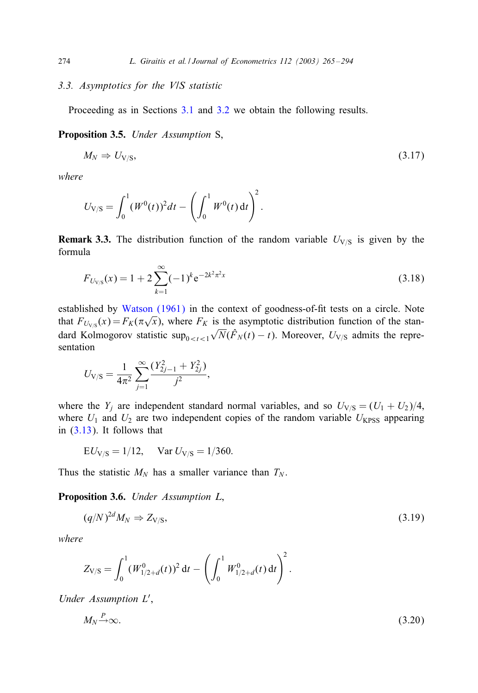#### *3.3. Asymptotics for the V/S statistic*

Proceeding as in Sections 3.1 and 3.2 we obtain the following results.

Proposition 3.5. *Under Assumption* S,

$$
M_N \Rightarrow U_{V/S},\tag{3.17}
$$

*where*

$$
U_{\rm V/S} = \int_0^1 (W^0(t))^2 dt - \left(\int_0^1 W^0(t) dt\right)^2.
$$

**Remark 3.3.** [The distribution](#page-29-0) function of the random variable  $U_{V/S}$  is given by the formula

$$
F_{U_{\text{V/S}}}(x) = 1 + 2 \sum_{k=1}^{\infty} (-1)^k e^{-2k^2 \pi^2 x}
$$
 (3.18)

established by Watson (1961) in the context of goodness-of-fit tests on a circle. Note that  $F_{U_{\sqrt{S}}}(x) = F_K(\pi\sqrt{x})$ , where  $F_K$  is the asymptotic distribution function of the standard Kolmogorov statistic sup $_{0 \le t \le 1} \sqrt{N}(\hat{F}_N(t) - t)$ . Moreover,  $U_{V/S}$  admits the representation

$$
U_{\text{V/S}} = \frac{1}{4\pi^2} \sum_{j=1}^{\infty} \frac{(Y_{2j-1}^2 + Y_{2j}^2)}{j^2},
$$

where the  $Y_j$  are independent standard normal variables, and so  $U_{V/S} = (U_1 + U_2)/4$ , where  $U_1$  and  $U_2$  are two independent copies of the random variable  $U_{KPSS}$  appearing in (3.13). It follows that

$$
EU_{V/S} = 1/12
$$
,  $Var U_{V/S} = 1/360$ .

Thus the statistic  $M_N$  has a smaller variance than  $T_N$ .

Proposition 3.6. *Under Assumption L*,

$$
(q/N)^{2d}M_N \Rightarrow Z_{V/S},\tag{3.19}
$$

*where*

$$
Z_{V/S} = \int_0^1 (W_{1/2+d}^0(t))^2 dt - \left(\int_0^1 W_{1/2+d}^0(t) dt\right)^2
$$

*Under Assumption* L ,

$$
M_N \xrightarrow{P} \infty. \tag{3.20}
$$

:

<span id="page-9-0"></span>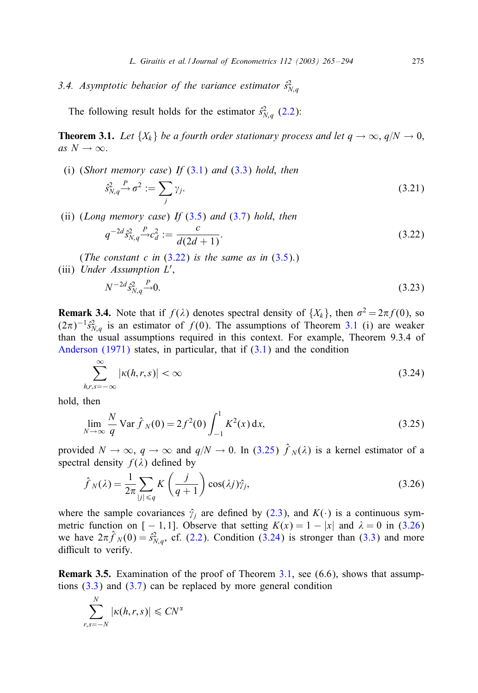<span id="page-10-0"></span>3.4. Asymptotic behavior of the variance estimator  $\hat{s}_{N,q}^2$ 

The following result holds f[or](#page-6-0) [th](#page-6-0)e esti[mato](#page-6-0)r  $\hat{s}_{N,q}^2$  (2.2):

**Theorem 3.1.** *Let*  $\{X_k\}$  *be a fourth order stationary process and let*  $q \rightarrow \infty$ ,  $q/N \rightarrow 0$ , *as*  $N \to \infty$ .

(i) (*Short memorycase*) *If* (3.1) *and* (3.3) *hold*, *then*

$$
\hat{s}_{N,q}^2 \stackrel{P}{\rightarrow} \sigma^2 := \sum_j \gamma_j. \tag{3.21}
$$

(ii) (*Long memorycase*) *If* (3.5) *and* (3.7) *hold*, *then*

$$
q^{-2d} s_{N,q}^2 \xrightarrow{P} c_d^2 := \frac{c}{d(2d+1)}.
$$
\n(3.22)

(*The constant c in*  $(3.22)$  *is the same as in*  $(3.5)$ *)* (iii) *Under Assumption* L ,

$$
N^{-2d} \hat{s}_{N,q}^2 \stackrel{P}{\longrightarrow} 0. \tag{3.23}
$$

**Remark 3.4.** Note that if  $f(\lambda)$  denotes spectral density of  $\{X_k\}$ , then  $\sigma^2 = 2\pi f(0)$ , so  $(2\pi)^{-1} \hat{s}_{N,q}^2$  is an estimator of  $f(0)$ . The assumptions of Theorem 3.1 (i) are weaker than the usual assumptions required in this context. For example, Theorem 9.3.4 of Anderson (1971) states, in particular, that if  $(3.1)$  and the condition

$$
\sum_{h,r,s=-\infty}^{\infty} |\kappa(h,r,s)| < \infty \tag{3.24}
$$

hold, then

$$
\lim_{N \to \infty} \frac{N}{q} \text{Var} \,\hat{f}_N(0) = 2f^2(0) \int_{-1}^1 K^2(x) \, \mathrm{d}x,\tag{3.25}
$$

provided  $N \to \infty$ ,  $q \to \infty$  and  $q/N \to 0$ . In (3.[25\)](#page-3-0)  $\hat{f}_N(\lambda)$  is a kernel estimator of a spectral density  $f(\lambda)$  defined by

$$
\hat{f}_N(\lambda) = \frac{1}{2\pi} \sum_{|j| \le q} K\left(\frac{j}{q+1}\right) \cos(\lambda j) \hat{\gamma}_j,
$$
\n(3.26)

where the sample covariances  $\hat{\gamma}_j$  are defined by (2.3), and  $K(\cdot)$  is a continuous symmetric [fun](#page-6-0)ction [on \[](#page-7-0) − 1, 1]. Observe that setting  $K(x) = 1 - |x|$  and  $\lambda = 0$  in (3.26) we have  $2\pi \hat{f}_N(0) = \hat{s}_{N,q}^2$ , cf. (2.2). Condition (3.24) is stronger than (3.3) and more difficult to verify.

Remark 3.5. Examination of the proof of Theorem 3.1, see (6.6), shows that assumptions  $(3.3)$  and  $(3.7)$  can be replaced by more general condition

$$
\sum_{r,s=-N}^{N} |\kappa(h,r,s)| \leq C N^{\alpha}
$$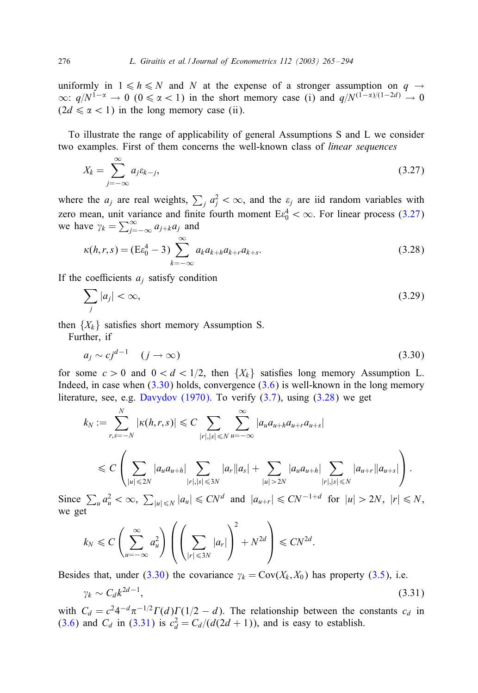uniformly in  $1 \le h \le N$  and N at the expense of a stronger assumption on  $q \to q$  $\infty$ :  $q/N^{1-\alpha} \to 0$  (0 ≤  $\alpha$  < 1) in the short memory case (i) and  $q/N^{(1-\alpha)/(1-2d)} \to 0$  $(2d \le \alpha < 1)$  in the long memory case (ii).

To illustrate the range of applicability of general Assumptions S and L we consider two examples. First of them concerns the well-known class of *linear sequences*

$$
X_k = \sum_{j=-\infty}^{\infty} a_j \varepsilon_{k-j},\tag{3.27}
$$

where the  $a_j$  are real weights,  $\sum_j a_j^2 < \infty$ , and the  $\varepsilon_j$  are iid random variables with zero mean, unit variance and finite fourth moment  $E_{0}^{4} < \infty$ . For linear process (3.27) we have  $\gamma_k = \sum_{j=-\infty}^{\infty} a_{j+k} a_j$  and

$$
\kappa(h,r,s) = (E\varepsilon_0^4 - 3) \sum_{k=-\infty}^{\infty} a_k a_{k+h} a_{k+r} a_{k+s}.
$$
\n(3.28)

If the coefficients  $a_i$  satisfy condition

$$
\sum_{j} |a_j| < \infty,\tag{3.29}
$$

then  $\{X_k\}$  satisfies [short memory A](#page-28-0)ssumption [S.](#page-6-0)

Further, if

$$
a_j \sim c j^{d-1} \quad (j \to \infty) \tag{3.30}
$$

for some  $c > 0$  and  $0 < d < 1/2$ , then  $\{X_k\}$  satisfies long memory Assumption L. Indeed, in case when (3.30) holds, convergence (3.6) is well-known in the long memory literature, see, e.g. Davydov (1970). To verify  $(3.7)$ , using  $(3.28)$  we get

$$
k_N := \sum_{r,s=-N}^N |\kappa(h,r,s)| \leq C \sum_{|r|,|s| \leq N} \sum_{u=-\infty}^{\infty} |a_u a_{u+h} a_{u+r} a_{u+s}|
$$
  

$$
\leq C \left( \sum_{|u| \leq 2N} |a_u a_{u+h}| \sum_{|r|,|s| \leq 3N} |a_r| |a_s| + \sum_{|u| > 2N} |a_u a_{u+h}| \sum_{|r|,|s| \leq N} |a_{u+r}| |a_{u+s}| \right).
$$

Since  $\sum_{u} a_u^2 < \infty$ ,  $\sum_{|u| \le N} |a_u| \le CN^d$  and  $|a_{u+r}| \le CN^{-1+d}$  for  $|u| > 2N$ ,  $|r| \le N$ , we get

$$
k_N \leq C \left( \sum_{u=-\infty}^{\infty} a_u^2 \right) \left( \left( \sum_{|r| \leq 3N} |a_r| \right)^2 + N^{2d} \right) \leq C N^{2d}.
$$

Besides that, under (3.30) the covariance  $\gamma_k = \text{Cov}(X_k, X_0)$  has property (3.5), i.e.

$$
\gamma_k \sim C_d k^{2d-1},\tag{3.31}
$$

with  $C_d = c^2 4^{-d} \pi^{-1/2} \Gamma(d) \Gamma(1/2 - d)$ . The relationship between the constants  $c_d$  in (3.6) and  $C_d$  in (3.31) is  $c_d^2 = C_d/(d(2d + 1))$ , and is easy to establish.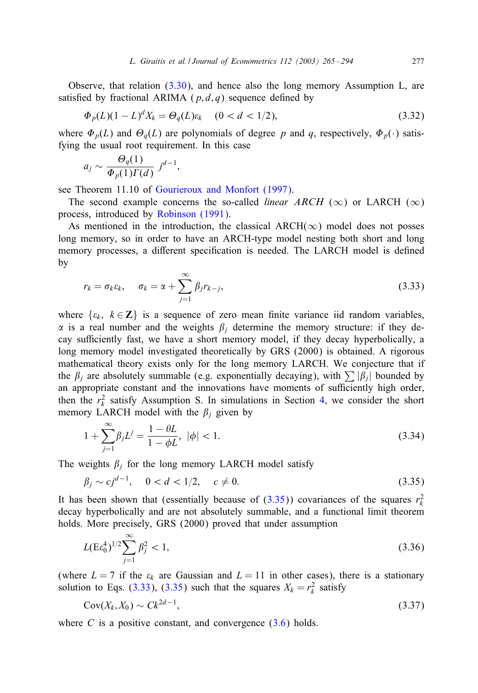<span id="page-12-0"></span>Observe, that relation  $(3.30)$ , and hence also the long memory Assumption L, are satisfied by fractional ARIMA ( $p, d, q$ ) sequence defined by

$$
\Phi_p(L)(1 - L)^d X_k = \Theta_q(L)\varepsilon_k \quad (0 < d < 1/2),\tag{3.32}
$$

where  $\Phi_p(L)$  $\Phi_p(L)$  and  $\Theta_q(L)$  [are](#page-28-0) [polynomials](#page-28-0) [of](#page-28-0) [degree](#page-28-0) p and q, respectively,  $\Phi_p(\cdot)$  satisfying the usual root re[quirement. In this](#page-29-0) case

$$
a_j \sim \frac{\Theta_q(1)}{\Phi_p(1)\Gamma(d)} j^{d-1},
$$

see Theorem 11.10 of Gourieroux and Monfort (1997).

The second example concerns the so-called *linear ARCH* ( $\infty$ ) or LARCH ( $\infty$ ) process, introduced by Robinson (1991).

As mentioned in the introduction, the classical ARCH( $\infty$ ) model does not posses long memory, so in order to have an ARCH-type model nesting both short and long memory processes, a different specification is needed. The LARCH model is defined by

$$
r_k = \sigma_k \varepsilon_k, \quad \sigma_k = \alpha + \sum_{j=1}^{\infty} \beta_j r_{k-j}, \tag{3.33}
$$

where  $\{ \varepsilon_k, k \in \mathbb{Z} \}$  is a sequence of zero mean finite variance iid random variables,  $\alpha$  is a real number and the weights  $\beta_i$  determine the memory structure: if they deca[y](#page-13-0) sufficiently fast, we have a short memory model, if they decay hyperbolically, a long memory model investigated theoretically by GRS (2000) is obtained. A rigorous mathematical theory exists only for the long memory LARCH. We conjecture that if the  $\beta_i$  are absolutely summable (e.g. exponentially decaying), with  $\sum |\beta_i|$  bounded by an appropriate constant and the innovations have moments of sufficiently high order, then the  $r_k^2$  satisfy Assumption S. In simulations in Section 4, we consider the short memory LARCH model with the  $\beta_i$  given by

$$
1 + \sum_{j=1}^{\infty} \beta_j L^j = \frac{1 - \theta L}{1 - \phi L}, \ |\phi| < 1. \tag{3.34}
$$

The weights  $\beta_j$  for the long memory LARCH model satisfy

$$
\beta_j \sim cj^{d-1}, \quad 0 < d < 1/2, \quad c \neq 0. \tag{3.35}
$$

It has been shown that (essentially because of  $(3.35)$ ) covariances of the squares  $r_k^2$ decay hyperbolically and are not absolutely summable, and a functional limit theorem holds. More precisely, GRS (2000) proved that under assumption

$$
L(E\epsilon_0^4)^{1/2} \sum_{j=1}^{\infty} \beta_j^2 < 1,\tag{3.36}
$$

(where  $L = 7$  if the  $\varepsilon_k$  are Gaussian and  $L = 11$  in other cases), there is a stationary solution to Eqs. (3.33), (3.35) such that the squares  $X_k = r_k^2$  satisfy

$$
Cov(X_k, X_0) \sim Ck^{2d-1},\tag{3.37}
$$

where C is a positive constant, and convergence  $(3.6)$  holds.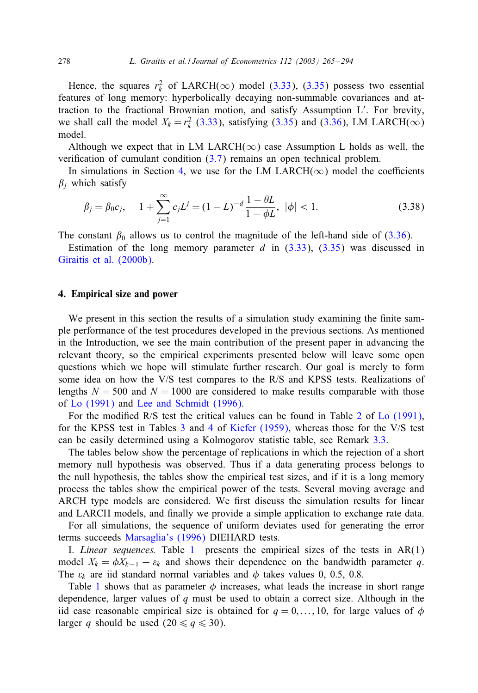<span id="page-13-0"></span>Hence, the squares  $r_k^2$  of LARCH( $\infty$ ) model (3.33), (3.35) possess two essential features of long memory: hyperbol[icall](#page-7-0)y decaying non-summable covariances and attraction to the fractional Brownian motion, and satisfy Assumption L . For brevity, we shall call the model  $X_k = r_k^2$  (3.33), satisfying (3.35) and (3.36), LM LARCH( $\infty$ ) model.

Although we expect that in LM LARCH( $\infty$ ) case Assumption L holds as well, the verification of cumulant condition  $(3.7)$  remains an open technical problem.

In simulations in Section 4, we use for the LM LARCH( $\infty$ ) model the coefficients  $\beta_i$  which satisfy

$$
\beta_j = \beta_0 c_j, \quad 1 + \sum_{j=1}^{\infty} c_j L^j = (1 - L)^{-d} \frac{1 - \theta L}{1 - \phi L}, \quad |\phi| < 1. \tag{3.38}
$$

The constant  $\beta_0$  allows us to control the magnitude of the left-hand side of (3.36).

Estimation of the long memory parameter d in  $(3.33)$ ,  $(3.35)$  was discussed in Giraitis et al. (2000b).

#### 4. Empirical size and power

We present in this section the results of a simulation study examining the finite sample performance of the test procedures developed in the previous sections. As mentioned in [the Introdu](#page-28-0)ctio[n, we see the main contrib](#page-28-0)ution of the present paper in advancing the relevant theory, so the empirical experiments presented below will l[ea](#page-16-0)ve [some open](#page-28-0) questions which we hope w[ill](#page-20-0) sti[mul](#page-21-0)ate [further resear](#page-28-0)ch. Our goal is merely to form some idea on how the V/S test compares to the R/S and KPSS tests. Re[aliz](#page-9-0)ations of lengths  $N = 500$  and  $N = 1000$  are considered to make results comparable with those of Lo (1991) and Lee and Schmidt (1996).

For the modified R/S test the critical values can be found in Table 2 of Lo  $(1991)$ , for the KPSS test in Tables 3 and 4 of Kiefer (1959), whereas those for the V/S test can be easily determined using a Kolmogorov statistic table, see Remark 3.3.

The tables below show the percentage of replications in which the rejection of a short memory null hypothesis was observed. Thus if a data generating process belongs to the null hypoth[esis, the tables show](#page-29-0) the empirical test sizes, and if it is a long memory process the tables show the e[mp](#page-14-0)irical power of the tests. Several moving average and ARCH type models are considered. We first discuss the simulation results for linear and LARCH models, and finally we provide a simple application to exchange rate data.

For a[ll](#page-14-0) simulations, the sequence of uniform deviates used for generating the error terms succeeds Marsaglia's (1996) DIEHARD tests.

I. *Linear sequences.* Table 1 presents the empirical sizes of the tests in AR(1) model  $X_k = \phi X_{k-1} + \varepsilon_k$  and shows their dependence on the bandwidth parameter q. The  $\varepsilon_k$  are iid standard normal variables and  $\phi$  takes values 0, 0.5, 0.8.

Table 1 shows that as parameter  $\phi$  increases, what leads the increase in short range dependence, larger values of q must be used to obtain a correct size. Although in the iid case reasonable empirical size is obtained for  $q = 0, \ldots, 10$ , for large values of  $\phi$ larger q should be used  $(20 \le q \le 30)$ .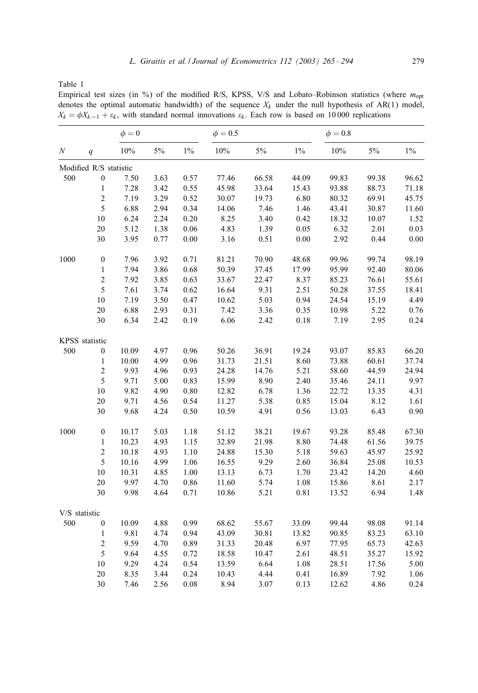<span id="page-14-0"></span>Table 1

Empirical test sizes (in %) of the modified R/S, KPSS, V/S and Lobato-Robinson statistics (where  $m_{\text{opt}}$ denotes the optimal automatic bandwidth) of the sequence  $X_k$  under the null hypothesis of AR(1) model,  $X_k = \phi X_{k-1} + \varepsilon_k$ , with standard normal innovations  $\varepsilon_k$ . Each row is based on 10 000 replications

|               |                        | $\phi = 0$ |      |       | $\phi = 0.5$ |       |       | $\phi = 0.8$ |       |       |
|---------------|------------------------|------------|------|-------|--------------|-------|-------|--------------|-------|-------|
| N             | q                      | $10\%$     | 5%   | $1\%$ | $10\%$       | $5\%$ | $1\%$ | 10%          | 5%    | $1\%$ |
|               | Modified R/S statistic |            |      |       |              |       |       |              |       |       |
| 500           | $\boldsymbol{0}$       | 7.50       | 3.63 | 0.57  | 77.46        | 66.58 | 44.09 | 99.83        | 99.38 | 96.62 |
|               | $\,1$                  | 7.28       | 3.42 | 0.55  | 45.98        | 33.64 | 15.43 | 93.88        | 88.73 | 71.18 |
|               | $\overline{c}$         | 7.19       | 3.29 | 0.52  | 30.07        | 19.73 | 6.80  | 80.32        | 69.91 | 45.75 |
|               | $\sqrt{5}$             | 6.88       | 2.94 | 0.34  | 14.06        | 7.46  | 1.46  | 43.41        | 30.87 | 11.60 |
|               | $10\,$                 | 6.24       | 2.24 | 0.20  | 8.25         | 3.40  | 0.42  | 18.32        | 10.07 | 1.52  |
|               | $20\,$                 | 5.12       | 1.38 | 0.06  | 4.83         | 1.39  | 0.05  | 6.32         | 2.01  | 0.03  |
|               | 30                     | 3.95       | 0.77 | 0.00  | 3.16         | 0.51  | 0.00  | 2.92         | 0.44  | 0.00  |
| 1000          | $\boldsymbol{0}$       | 7.96       | 3.92 | 0.71  | 81.21        | 70.90 | 48.68 | 99.96        | 99.74 | 98.19 |
|               | $\mathbf{1}$           | 7.94       | 3.86 | 0.68  | 50.39        | 37.45 | 17.99 | 95.99        | 92.40 | 80.06 |
|               | $\sqrt{2}$             | 7.92       | 3.85 | 0.63  | 33.67        | 22.47 | 8.37  | 85.23        | 76.61 | 55.61 |
|               | 5                      | 7.61       | 3.74 | 0.62  | 16.64        | 9.31  | 2.51  | 50.28        | 37.55 | 18.41 |
|               | $10\,$                 | 7.19       | 3.50 | 0.47  | 10.62        | 5.03  | 0.94  | 24.54        | 15.19 | 4.49  |
|               | $20\,$                 | 6.88       | 2.93 | 0.31  | 7.42         | 3.36  | 0.35  | 10.98        | 5.22  | 0.76  |
|               | $30\,$                 | 6.34       | 2.42 | 0.19  | 6.06         | 2.42  | 0.18  | 7.19         | 2.95  | 0.24  |
|               | KPSS statistic         |            |      |       |              |       |       |              |       |       |
| 500           | $\boldsymbol{0}$       | 10.09      | 4.97 | 0.96  | 50.26        | 36.91 | 19.24 | 93.07        | 85.83 | 66.20 |
|               | $\mathbf{1}$           | 10.00      | 4.99 | 0.96  | 31.73        | 21.51 | 8.60  | 73.88        | 60.61 | 37.74 |
|               | $\overline{c}$         | 9.93       | 4.96 | 0.93  | 24.28        | 14.76 | 5.21  | 58.60        | 44.59 | 24.94 |
|               | 5                      | 9.71       | 5.00 | 0.83  | 15.99        | 8.90  | 2.40  | 35.46        | 24.11 | 9.97  |
|               | $10\,$                 | 9.82       | 4.90 | 0.80  | 12.82        | 6.78  | 1.36  | 22.72        | 13.35 | 4.31  |
|               | $20\,$                 | 9.71       | 4.56 | 0.54  | 11.27        | 5.38  | 0.85  | 15.04        | 8.12  | 1.61  |
|               | 30                     | 9.68       | 4.24 | 0.50  | 10.59        | 4.91  | 0.56  | 13.03        | 6.43  | 0.90  |
| 1000          | $\boldsymbol{0}$       | 10.17      | 5.03 | 1.18  | 51.12        | 38.21 | 19.67 | 93.28        | 85.48 | 67.30 |
|               | $\mathbf{1}$           | 10.23      | 4.93 | 1.15  | 32.89        | 21.98 | 8.80  | 74.48        | 61.56 | 39.75 |
|               | $\overline{c}$         | 10.18      | 4.93 | 1.10  | 24.88        | 15.30 | 5.18  | 59.63        | 45.97 | 25.92 |
|               | 5                      | 10.16      | 4.99 | 1.06  | 16.55        | 9.29  | 2.60  | 36.84        | 25.08 | 10.53 |
|               | $10\,$                 | 10.31      | 4.85 | 1.00  | 13.13        | 6.73  | 1.70  | 23.42        | 14.20 | 4.60  |
|               | $20\,$                 | 9.97       | 4.70 | 0.86  | 11.60        | 5.74  | 1.08  | 15.86        | 8.61  | 2.17  |
|               | $30\,$                 | 9.98       | 4.64 | 0.71  | 10.86        | 5.21  | 0.81  | 13.52        | 6.94  | 1.48  |
| V/S statistic |                        |            |      |       |              |       |       |              |       |       |
| 500           | $\boldsymbol{0}$       | 10.09      | 4.88 | 0.99  | 68.62        | 55.67 | 33.09 | 99.44        | 98.08 | 91.14 |
|               | $\mathbf{1}$           | 9.81       | 4.74 | 0.94  | 43.09        | 30.81 | 13.82 | 90.85        | 83.23 | 63.10 |
|               | $\overline{c}$         | 9.59       | 4.70 | 0.89  | 31.33        | 20.48 | 6.97  | 77.95        | 65.73 | 42.63 |
|               | 5                      | 9.64       | 4.55 | 0.72  | 18.58        | 10.47 | 2.61  | 48.51        | 35.27 | 15.92 |
|               | $10\,$                 | 9.29       | 4.24 | 0.54  | 13.59        | 6.64  | 1.08  | 28.51        | 17.56 | 5.00  |
|               | $20\,$                 | 8.35       | 3.44 | 0.24  | 10.43        | 4.44  | 0.41  | 16.89        | 7.92  | 1.06  |
|               | 30                     | 7.46       | 2.56 | 0.08  | 8.94         | 3.07  | 0.13  | 12.62        | 4.86  | 0.24  |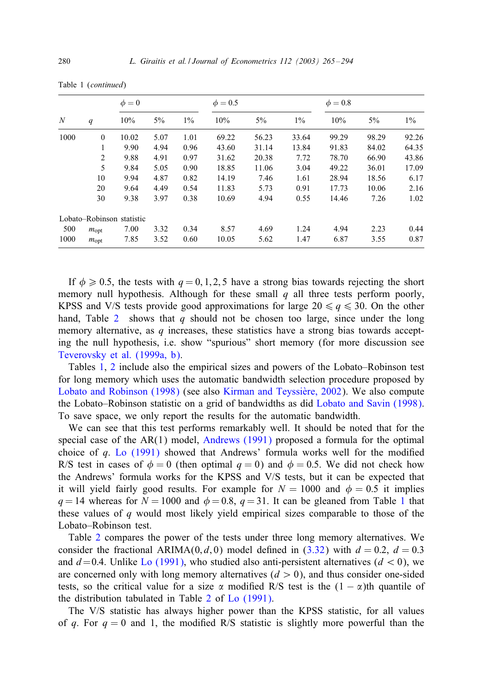|  |  | Table 1 (continued) |
|--|--|---------------------|
|--|--|---------------------|

|      | q                | $\phi = 0$                |      |       | $\phi = 0.5$ |       |       | $\phi = 0.8$ |       |       |
|------|------------------|---------------------------|------|-------|--------------|-------|-------|--------------|-------|-------|
| N    |                  | 10%                       | 5%   | $1\%$ | 10%          | 5%    | $1\%$ | 10%          | 5%    | $1\%$ |
| 1000 | $\mathbf{0}$     | 10.02                     | 5.07 | 1.01  | 69.22        | 56.23 | 33.64 | 99.29        | 98.29 | 92.26 |
|      | 1                | 9.90                      | 4.94 | 0.96  | 43.60        | 31.14 | 13.84 | 91.83        | 84.02 | 64.35 |
|      | 2                | 9.88                      | 4.91 | 0.97  | 31.62        | 20.38 | 7.72  | 78.70        | 66.90 | 43.86 |
|      | 5                | 9.84                      | 5.05 | 0.90  | 18.85        | 11.06 | 3.04  | 49.22        | 36.01 | 17.09 |
|      | 10               | 9.94                      | 4.87 | 0.82  | 14.19        | 7.46  | 1.61  | 28.94        | 18.56 | 6.17  |
|      | 20               | 9.64                      | 4.49 | 0.54  | 11.83        | 5.73  | 0.91  | 17.73        | 10.06 | 2.16  |
|      | 30               | 9.38                      | 3.97 | 0.38  | 10.69        | 4.94  | 0.55  | 14.46        | 7.26  | 1.02  |
|      |                  | Lobato-Robinson statistic |      |       |              |       |       |              |       |       |
| 500  | $m_{\text{opt}}$ | 7.00                      | 3.32 | 0.34  | 8.57         | 4.69  | 1.24  | 4.94         | 2.23  | 0.44  |
| 1000 | $m_{\text{opt}}$ | 7.85                      | 3.52 | 0.60  | 10.05        | 5.62  | 1.47  | 6.87         | 3.55  | 0.87  |

If  $\phi \ge 0.5$ , the tests with  $q = 0, 1, 2, 5$  have a strong bias towards rejecting the short [memory null hypothesis. Alt](#page-29-0)hough for these small  $q$  all three tests perform poorly, KPSS an[d](#page-14-0) [V/S](#page-16-0) tests provide good approximations for large  $20 \le q \le 30$ . On the other hand, Table 2 shows that q should not be chosen too large, since under the long [memory alternative, as](#page-29-0)  $q$  increases, th[ese statistics have a strong b](#page-28-0)ias towards accepting the null hypothesis, i.e. show "spurious" short memory [\(for more discussion see](#page-29-0) Teverovsky et al. (1999a, b).

Tables 1, 2 include also the empirical sizes and powers of the Lobato–Robinson test for long memory which uses the [automatic bandwid](#page-27-0)th selection procedure proposed by Lobato and [Robinson \(19](#page-28-0)98) (see also Kirman and Teyssière, 2002). We also compute the Lobato–Robinson statistic on a grid of bandwidths as did Lobato and Savin (1998). To save space, we only report the results for the automatic bandwidth.

We can see that this test performs remarkably well. It should be noted that for the special case of the  $AR(1)$  model, Andrews (1991) proposed a formula for the o[pt](#page-14-0)imal choice of  $q$ . Lo (1991) showed that Andrews' formula works well for the modified R/S test in cases of  $\phi = 0$  (then optimal  $q = 0$ ) and  $\phi = 0.5$ . We did not check how the And[rew](#page-16-0)s' formula works for the KPSS and V/S tests, but it can be expected that it will yield f[a](#page-12-0)irly good results. For example for  $N = 1000$  $N = 1000$  and  $\phi = 0.5$  it implies  $q = 14$  whereas for  $N = 1000$  $N = 1000$  and  $\phi = 0.8$ ,  $q = 31$ . It can be gleaned from Table 1 that these values of  $q$  would most likely yield empirical sizes comparable to those of the Lobato–Robinson test.

Table 2 compares the power of [th](#page-16-0)e t[ests under t](#page-28-0)hree long memory alternatives. We consider the fractional ARIMA(0, d, 0) model defined in (3.32) with  $d = 0.2$ ,  $d = 0.3$ and  $d=0.4$ . Unlike Lo (1991), who studied also anti-persistent alternatives ( $d < 0$ ), we are concerned only with long memory alternatives  $(d > 0)$ , and thus consider one-sided tests, so the critical value for a size  $\alpha$  modified R/S test is the  $(1 - \alpha)$ th quantile of the distribution tabulated in Table 2 of Lo (1991).

The V/S statistic has always higher power than the KPSS statistic, for all values of q. For  $q = 0$  and 1, the modified R/S statistic is slightly more powerful than the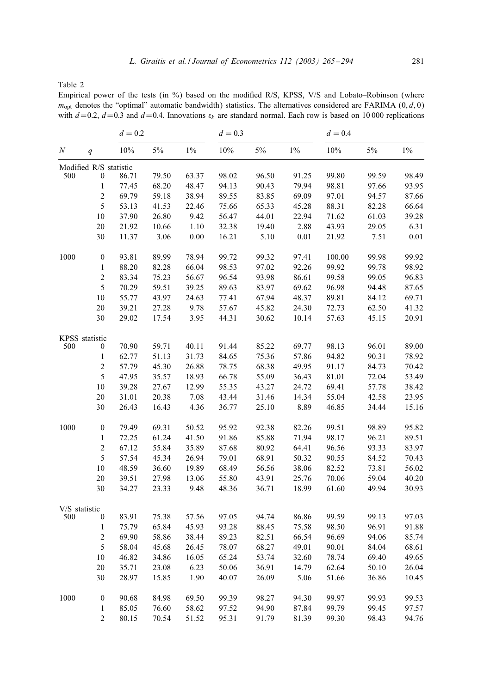<span id="page-16-0"></span>Table 2

Empirical power of the tests (in %) based on the modified R/S, KPSS, V/S and Lobato–Robinson (where  $m_{\text{opt}}$  denotes the "optimal" automatic bandwidth) statistics. The alternatives considered are FARIMA (0, d, 0) with  $d=0.2$ ,  $d=0.3$  and  $d=0.4$ . Innovations  $\varepsilon_k$  are standard normal. Each row is based on 10 000 replications

|               |                        | $d = 0.2$ |       |       | $d = 0.3$ |       |       | $d = 0.4$ |       |       |
|---------------|------------------------|-----------|-------|-------|-----------|-------|-------|-----------|-------|-------|
| N             | q                      | 10%       | $5\%$ | $1\%$ | 10%       | $5\%$ | $1\%$ | 10%       | 5%    | $1\%$ |
|               | Modified R/S statistic |           |       |       |           |       |       |           |       |       |
| 500           | $\boldsymbol{0}$       | 86.71     | 79.50 | 63.37 | 98.02     | 96.50 | 91.25 | 99.80     | 99.59 | 98.49 |
|               | $\mathbf{1}$           | 77.45     | 68.20 | 48.47 | 94.13     | 90.43 | 79.94 | 98.81     | 97.66 | 93.95 |
|               | $\sqrt{2}$             | 69.79     | 59.18 | 38.94 | 89.55     | 83.85 | 69.09 | 97.01     | 94.57 | 87.66 |
|               | 5                      | 53.13     | 41.53 | 22.46 | 75.66     | 65.33 | 45.28 | 88.31     | 82.28 | 66.64 |
|               | 10                     | 37.90     | 26.80 | 9.42  | 56.47     | 44.01 | 22.94 | 71.62     | 61.03 | 39.28 |
|               | 20                     | 21.92     | 10.66 | 1.10  | 32.38     | 19.40 | 2.88  | 43.93     | 29.05 | 6.31  |
|               | 30                     | 11.37     | 3.06  | 0.00  | 16.21     | 5.10  | 0.01  | 21.92     | 7.51  | 0.01  |
| 1000          | $\boldsymbol{0}$       | 93.81     | 89.99 | 78.94 | 99.72     | 99.32 | 97.41 | 100.00    | 99.98 | 99.92 |
|               | $\mathbf{1}$           | 88.20     | 82.28 | 66.04 | 98.53     | 97.02 | 92.26 | 99.92     | 99.78 | 98.92 |
|               | $\overline{2}$         | 83.34     | 75.23 | 56.67 | 96.54     | 93.98 | 86.61 | 99.58     | 99.05 | 96.83 |
|               | 5                      | 70.29     | 59.51 | 39.25 | 89.63     | 83.97 | 69.62 | 96.98     | 94.48 | 87.65 |
|               | 10                     | 55.77     | 43.97 | 24.63 | 77.41     | 67.94 | 48.37 | 89.81     | 84.12 | 69.71 |
|               | 20                     | 39.21     | 27.28 | 9.78  | 57.67     | 45.82 | 24.30 | 72.73     | 62.50 | 41.32 |
|               | 30                     | 29.02     | 17.54 | 3.95  | 44.31     | 30.62 | 10.14 | 57.63     | 45.15 | 20.91 |
|               | KPSS statistic         |           |       |       |           |       |       |           |       |       |
| 500           | 0                      | 70.90     | 59.71 | 40.11 | 91.44     | 85.22 | 69.77 | 98.13     | 96.01 | 89.00 |
|               | $\mathbf{1}$           | 62.77     | 51.13 | 31.73 | 84.65     | 75.36 | 57.86 | 94.82     | 90.31 | 78.92 |
|               | $\overline{2}$         | 57.79     | 45.30 | 26.88 | 78.75     | 68.38 | 49.95 | 91.17     | 84.73 | 70.42 |
|               | 5                      | 47.95     | 35.57 | 18.93 | 66.78     | 55.09 | 36.43 | 81.01     | 72.04 | 53.49 |
|               | 10                     | 39.28     | 27.67 | 12.99 | 55.35     | 43.27 | 24.72 | 69.41     | 57.78 | 38.42 |
|               | 20                     | 31.01     | 20.38 | 7.08  | 43.44     | 31.46 | 14.34 | 55.04     | 42.58 | 23.95 |
|               | 30                     | 26.43     | 16.43 | 4.36  | 36.77     | 25.10 | 8.89  | 46.85     | 34.44 | 15.16 |
| 1000          | $\boldsymbol{0}$       | 79.49     | 69.31 | 50.52 | 95.92     | 92.38 | 82.26 | 99.51     | 98.89 | 95.82 |
|               | $\mathbf{1}$           | 72.25     | 61.24 | 41.50 | 91.86     | 85.88 | 71.94 | 98.17     | 96.21 | 89.51 |
|               | $\overline{c}$         | 67.12     | 55.84 | 35.89 | 87.68     | 80.92 | 64.41 | 96.56     | 93.33 | 83.97 |
|               | 5                      | 57.54     | 45.34 | 26.94 | 79.01     | 68.91 | 50.32 | 90.55     | 84.52 | 70.43 |
|               | 10                     | 48.59     | 36.60 | 19.89 | 68.49     | 56.56 | 38.06 | 82.52     | 73.81 | 56.02 |
|               | 20                     | 39.51     | 27.98 | 13.06 | 55.80     | 43.91 | 25.76 | 70.06     | 59.04 | 40.20 |
|               | 30                     | 34.27     | 23.33 | 9.48  | 48.36     | 36.71 | 18.99 | 61.60     | 49.94 | 30.93 |
| V/S statistic |                        |           |       |       |           |       |       |           |       |       |
| 500           | $\boldsymbol{0}$       | 83.91     | 75.38 | 57.56 | 97.05     | 94.74 | 86.86 | 99.59     | 99.13 | 97.03 |
|               | $\mathbf{1}$           | 75.79     | 65.84 | 45.93 | 93.28     | 88.45 | 75.58 | 98.50     | 96.91 | 91.88 |
|               | $\overline{c}$         | 69.90     | 58.86 | 38.44 | 89.23     | 82.51 | 66.54 | 96.69     | 94.06 | 85.74 |
|               | 5                      | 58.04     | 45.68 | 26.45 | 78.07     | 68.27 | 49.01 | 90.01     | 84.04 | 68.61 |
|               | 10                     | 46.82     | 34.86 | 16.05 | 65.24     | 53.74 | 32.60 | 78.74     | 69.40 | 49.65 |
|               | 20                     | 35.71     | 23.08 | 6.23  | 50.06     | 36.91 | 14.79 | 62.64     | 50.10 | 26.04 |
|               | 30                     | 28.97     | 15.85 | 1.90  | 40.07     | 26.09 | 5.06  | 51.66     | 36.86 | 10.45 |
| 1000          | $\boldsymbol{0}$       | 90.68     | 84.98 | 69.50 | 99.39     | 98.27 | 94.30 | 99.97     | 99.93 | 99.53 |
|               | $\mathbf{1}$           | 85.05     | 76.60 | 58.62 | 97.52     | 94.90 | 87.84 | 99.79     | 99.45 | 97.57 |
|               | $\overline{c}$         | 80.15     | 70.54 | 51.52 | 95.31     | 91.79 | 81.39 | 99.30     | 98.43 | 94.76 |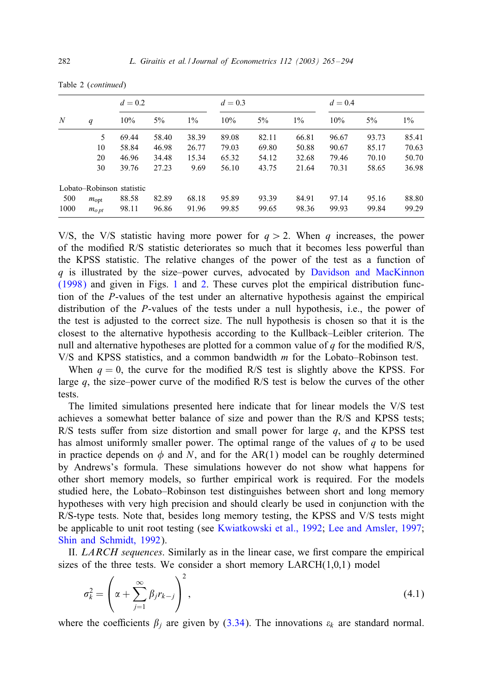|  | Table 2 (continued) |
|--|---------------------|
|--|---------------------|

|      |                  | $d = 0.2$                 |       |       | $d = 0.3$ |       |       | $d = 0.4$ |       |       |
|------|------------------|---------------------------|-------|-------|-----------|-------|-------|-----------|-------|-------|
| N    | q                | 10%                       | $5\%$ | $1\%$ | 10%       | $5\%$ | $1\%$ | 10%       | $5\%$ | $1\%$ |
|      | 5                | 69.44                     | 58.40 | 38.39 | 89.08     | 82.11 | 66.81 | 96.67     | 93.73 | 85.41 |
|      | 10               | 58.84                     | 46.98 | 26.77 | 79.03     | 69.80 | 50.88 | 90.67     | 85.17 | 70.63 |
|      | 20               | 46.96                     | 34.48 | 15.34 | 65.32     | 54.12 | 32.68 | 79.46     | 70.10 | 50.70 |
|      | 30               | 39.76                     | 27.23 | 9.69  | 56.10     | 43.75 | 21.64 | 70.31     | 58.65 | 36.98 |
|      |                  | Lobato-Robinson statistic |       |       |           |       |       |           |       |       |
| 500  | $m_{\text{opt}}$ | 88.58                     | 82.89 | 68.18 | 95.89     | 93.39 | 84.91 | 97.14     | 95.16 | 88.80 |
| 1000 | $m_{opt}$        | 98.11                     | 96.86 | 91.96 | 99.85     | 99.65 | 98.36 | 99.93     | 99.84 | 99.29 |

V/S, the V/S statistic having more power for  $q > 2$ . When q increases, the power of the modified R/S statistic deteriorates so much that it becomes less powerful than the KPSS statistic. The relative changes of the power of the test as a function of  $q$  is illustrated by the size–power curves, advocated by Davidson and MacKinnon (1998) and given in Figs. 1 and 2. These curves plot the empirical distribution function of the P-values of the test under an alternative hypothesis against the empirical distribution of the P-values of the tests under a null hypothesis, i.e., the power of the test is adjusted to the correct size. The null hypothesis is chosen so that it is the closest to the alternative hypothesis according to the Kullback–Leibler criterion. The null and alternative hypotheses are plotted for a common value of  $q$  for the modified R/S, V/S and KPSS statistics, and a common bandwidth m for the Lobato–Robinson test.

When  $q = 0$ , the curve for the modified R/S test is slightly above the KPSS. For large  $q$ , the size–power curve of the modified R/S test is below the curves of the other tests.

The limited simulations presented here indicate that for linear models the V/S test achieves a somewhat better balance of size and power than the R/S and KPSS tests; R/S tests suffer from size distortion and small power for large  $q$ , and the KPSS test has almost uniformly smaller power. The optimal range of the values of  $q$  to be used in practice depends on  $\phi$  and N, and for the AR(1) model can be roughly determined by Andrews's formula. These simu[lations however do not show what happens for](#page-28-0) [other short memory mo](#page-29-0)dels, so further empirical work is required. For the models studied here, the Lobato–Robinson test distinguishes between short and long memory hypotheses with very high precision and should clearly be used in conjunction with the R/S-type tests. Note that, besides long memory testing, the KPSS and V/S tests might be applicable to unit root testing (see Kwiatkowski et al., 1992; Lee and Amsler, 1997; Shin and Schmidt, 1992).

II. *LARCH sequences*. Similarly as in the linear case, we first compare the empirical sizes of the three tests. We consider a [short](#page-12-0) memory  $LARCH(1,0,1)$  model

$$
\sigma_k^2 = \left(\alpha + \sum_{j=1}^{\infty} \beta_j r_{k-j}\right)^2,\tag{4.1}
$$

where the coefficients  $\beta_j$  are given by (3.34). The innovations  $\varepsilon_k$  are standard normal.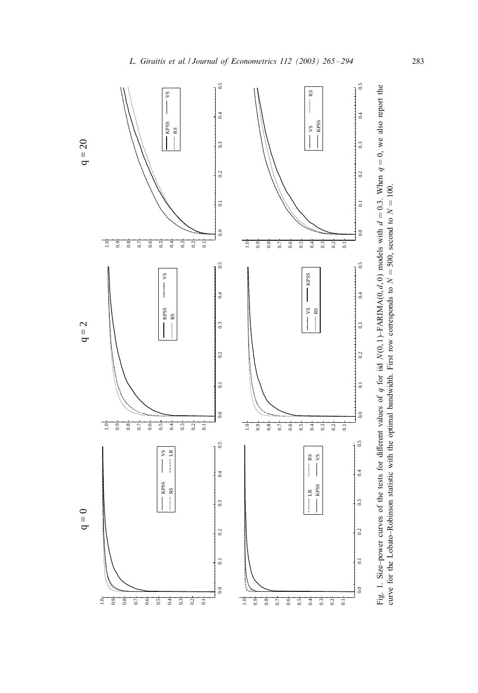

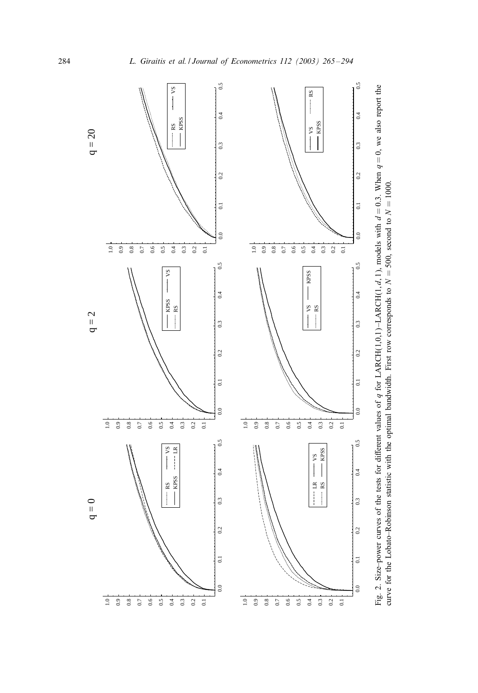<span id="page-19-0"></span>

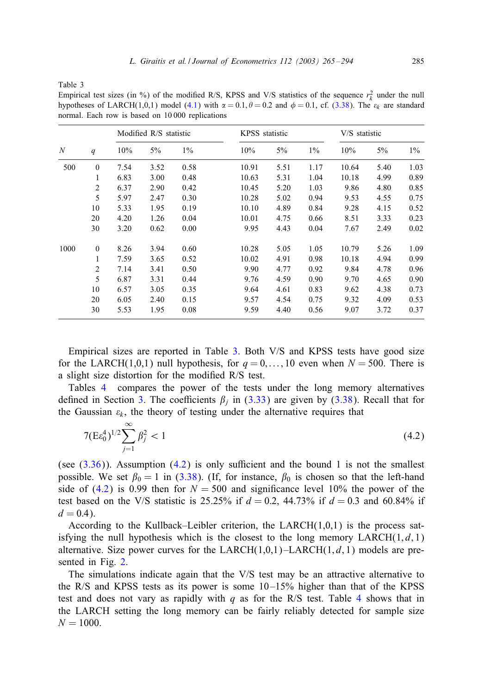<span id="page-20-0"></span>Table 3

Empirical test sizes (in %) of the modified R/S, KPSS and V/S statistics of the sequence  $r_k^2$  under the null hypotheses of LARCH(1,0,1) model (4.1) with  $\alpha = 0.1$ ,  $\theta = 0.2$  and  $\phi = 0.1$ , cf. (3.38). The  $\varepsilon_k$  are standard normal. Each row is based on 10 000 replications

|      |              |      | Modified R/S statistic |       |       | KPSS statistic | V/S statistic |       |      |       |
|------|--------------|------|------------------------|-------|-------|----------------|---------------|-------|------|-------|
| N    | q            | 10%  | 5%                     | $1\%$ | 10%   | $5\%$          | $1\%$         | 10%   | 5%   | $1\%$ |
| 500  | $\mathbf{0}$ | 7.54 | 3.52                   | 0.58  | 10.91 | 5.51           | 1.17          | 10.64 | 5.40 | 1.03  |
|      | 1            | 6.83 | 3.00                   | 0.48  | 10.63 | 5.31           | 1.04          | 10.18 | 4.99 | 0.89  |
|      | 2            | 6.37 | 2.90                   | 0.42  | 10.45 | 5.20           | 1.03          | 9.86  | 4.80 | 0.85  |
|      | 5            | 5.97 | 2.47                   | 0.30  | 10.28 | 5.02           | 0.94          | 9.53  | 4.55 | 0.75  |
|      | 10           | 5.33 | 1.95                   | 0.19  | 10.10 | 4.89           | 0.84          | 9.28  | 4.15 | 0.52  |
|      | 20           | 4.20 | 1.26                   | 0.04  | 10.01 | 4.75           | 0.66          | 8.51  | 3.33 | 0.23  |
|      | 30           | 3.20 | 0.62                   | 0.00  | 9.95  | 4.43           | 0.04          | 7.67  | 2.49 | 0.02  |
| 1000 | $\mathbf{0}$ | 8.26 | 3.94                   | 0.60  | 10.28 | 5.05           | 1.05          | 10.79 | 5.26 | 1.09  |
|      | 1            | 7.59 | 3.65                   | 0.52  | 10.02 | 4.91           | 0.98          | 10.18 | 4.94 | 0.99  |
|      | 2            | 7.14 | 3.41                   | 0.50  | 9.90  | 4.77           | 0.92          | 9.84  | 4.78 | 0.96  |
|      | 5            | 6.87 | 3.31                   | 0.44  | 9.76  | 4.59           | 0.90          | 9.70  | 4.65 | 0.90  |
|      | 10           | 6.57 | 3.05                   | 0.35  | 9.64  | 4.61           | 0.83          | 9.62  | 4.38 | 0.73  |
|      | 20           | 6.05 | 2.40                   | 0.15  | 9.57  | 4.54           | 0.75          | 9.32  | 4.09 | 0.53  |
|      | 30           | 5.53 | 1.95                   | 0.08  | 9.59  | 4.40           | 0.56          | 9.07  | 3.72 | 0.37  |

Empirical sizes are reported in Table 3. Both V/S and KPSS tests have good size for the LARCH(1,0,1) null hypothesis, for  $q = 0, \ldots, 10$  even when  $N = 500$ . There is a slight size distortion for the modified  $R/S$  test.

Tables 4 compares the power of the tests under the long memory alternatives defin[ed in](#page-12-0) Section 3. The coefficients  $\beta_i$  in (3.33) are given by (3.38). Recall that for the Gaussian  $\varepsilon_k$ , the theory [of tes](#page-13-0)ting under the alternative requires that

$$
7(E\varepsilon_0^4)^{1/2} \sum_{j=1}^{\infty} \beta_j^2 < 1\tag{4.2}
$$

(see  $(3.36)$ ). Assumption  $(4.2)$  is only sufficient and the bound 1 is not the smallest possible. We set  $\beta_0 = 1$  in (3.38). (If, for instance,  $\beta_0$  is chosen so that the left-hand side of (4.2) is 0.99 then for  $N = 500$  and significance level 10% the power of the test based on [the](#page-19-0) V/S statistic is 25.25% if  $d = 0.2$ , 44.73% if  $d = 0.3$  and 60.84% if  $d = 0.4$ ).

According to the Kullback–Leibler criterion, the LARCH $(1,0,1)$  is the process satisfying the null hypothesis which is the closest to the long memory  $LARCH(1, d, 1)$  $LARCH(1, d, 1)$ alternative. Size power curves for the  $LARCH(1,0,1)$  –  $LARCH(1,d,1)$  models are presented in Fig. 2.

The simulations indicate again that the V/S test may be an attractive alternative to the R/S and KPSS tests as its power is some  $10-15%$  higher than that of the KPSS test and does not vary as rapidly with q as for the R/S test. Table 4 shows that in the LARCH setting the long memory can be fairly reliably detected for sample size  $N = 1000$ .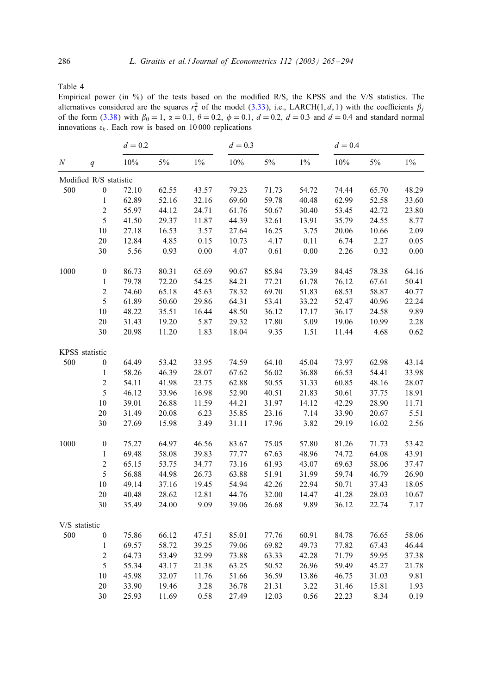Table 4

Empirical power (in %) of the tests based on the modified R/S, the KPSS and the V/S statistics. The alternatives considered are the squares  $r_k^2$  of the model (3.33), i.e., LARCH(1, d, 1) with the coefficients  $\beta_j$ of the form (3.38) with  $\beta_0 = 1$ ,  $\alpha = 0.1$ ,  $\theta = 0.2$ ,  $\phi = 0.1$ ,  $d = 0.2$ ,  $d = 0.3$  and  $d = 0.4$  and standard normal innovations  $\varepsilon_k$ . Each row is based on 10 000 replications

|               |                        | $d = 0.2$ |       |          | $d = 0.3$ |       |       | $d = 0.4$ |       |       |
|---------------|------------------------|-----------|-------|----------|-----------|-------|-------|-----------|-------|-------|
| N             | q                      | $10\%$    | $5\%$ | $1\%$    | $10\%$    | $5\%$ | $1\%$ | 10%       | $5\%$ | $1\%$ |
|               | Modified R/S statistic |           |       |          |           |       |       |           |       |       |
| 500           | $\boldsymbol{0}$       | 72.10     | 62.55 | 43.57    | 79.23     | 71.73 | 54.72 | 74.44     | 65.70 | 48.29 |
|               | $\mathbf{1}$           | 62.89     | 52.16 | 32.16    | 69.60     | 59.78 | 40.48 | 62.99     | 52.58 | 33.60 |
|               | $\overline{c}$         | 55.97     | 44.12 | 24.71    | 61.76     | 50.67 | 30.40 | 53.45     | 42.72 | 23.80 |
|               | 5                      | 41.50     | 29.37 | 11.87    | 44.39     | 32.61 | 13.91 | 35.79     | 24.55 | 8.77  |
|               | $10$                   | 27.18     | 16.53 | 3.57     | 27.64     | 16.25 | 3.75  | 20.06     | 10.66 | 2.09  |
|               | 20                     | 12.84     | 4.85  | 0.15     | 10.73     | 4.17  | 0.11  | 6.74      | 2.27  | 0.05  |
|               | 30                     | 5.56      | 0.93  | $0.00\,$ | 4.07      | 0.61  | 0.00  | 2.26      | 0.32  | 0.00  |
| 1000          | $\boldsymbol{0}$       | 86.73     | 80.31 | 65.69    | 90.67     | 85.84 | 73.39 | 84.45     | 78.38 | 64.16 |
|               | $\,1\,$                | 79.78     | 72.20 | 54.25    | 84.21     | 77.21 | 61.78 | 76.12     | 67.61 | 50.41 |
|               | $\overline{c}$         | 74.60     | 65.18 | 45.63    | 78.32     | 69.70 | 51.83 | 68.53     | 58.87 | 40.77 |
|               | 5                      | 61.89     | 50.60 | 29.86    | 64.31     | 53.41 | 33.22 | 52.47     | 40.96 | 22.24 |
|               | 10                     | 48.22     | 35.51 | 16.44    | 48.50     | 36.12 | 17.17 | 36.17     | 24.58 | 9.89  |
|               | 20                     | 31.43     | 19.20 | 5.87     | 29.32     | 17.80 | 5.09  | 19.06     | 10.99 | 2.28  |
|               | 30                     | 20.98     | 11.20 | 1.83     | 18.04     | 9.35  | 1.51  | 11.44     | 4.68  | 0.62  |
|               | KPSS statistic         |           |       |          |           |       |       |           |       |       |
| 500           | $\boldsymbol{0}$       | 64.49     | 53.42 | 33.95    | 74.59     | 64.10 | 45.04 | 73.97     | 62.98 | 43.14 |
|               | $\,1\,$                | 58.26     | 46.39 | 28.07    | 67.62     | 56.02 | 36.88 | 66.53     | 54.41 | 33.98 |
|               | $\sqrt{2}$             | 54.11     | 41.98 | 23.75    | 62.88     | 50.55 | 31.33 | 60.85     | 48.16 | 28.07 |
|               | 5                      | 46.12     | 33.96 | 16.98    | 52.90     | 40.51 | 21.83 | 50.61     | 37.75 | 18.91 |
|               | 10                     | 39.01     | 26.88 | 11.59    | 44.21     | 31.97 | 14.12 | 42.29     | 28.90 | 11.71 |
|               | 20                     | 31.49     | 20.08 | 6.23     | 35.85     | 23.16 | 7.14  | 33.90     | 20.67 | 5.51  |
|               | 30                     | 27.69     | 15.98 | 3.49     | 31.11     | 17.96 | 3.82  | 29.19     | 16.02 | 2.56  |
| 1000          | $\boldsymbol{0}$       | 75.27     | 64.97 | 46.56    | 83.67     | 75.05 | 57.80 | 81.26     | 71.73 | 53.42 |
|               | $\,1\,$                | 69.48     | 58.08 | 39.83    | 77.77     | 67.63 | 48.96 | 74.72     | 64.08 | 43.91 |
|               | $\overline{c}$         | 65.15     | 53.75 | 34.77    | 73.16     | 61.93 | 43.07 | 69.63     | 58.06 | 37.47 |
|               | 5                      | 56.88     | 44.98 | 26.73    | 63.88     | 51.91 | 31.99 | 59.74     | 46.79 | 26.90 |
|               | $10\,$                 | 49.14     | 37.16 | 19.45    | 54.94     | 42.26 | 22.94 | 50.71     | 37.43 | 18.05 |
|               | 20                     | 40.48     | 28.62 | 12.81    | 44.76     | 32.00 | 14.47 | 41.28     | 28.03 | 10.67 |
|               | 30                     | 35.49     | 24.00 | 9.09     | 39.06     | 26.68 | 9.89  | 36.12     | 22.74 | 7.17  |
| V/S statistic |                        |           |       |          |           |       |       |           |       |       |
| 500           | $\boldsymbol{0}$       | 75.86     | 66.12 | 47.51    | 85.01     | 77.76 | 60.91 | 84.78     | 76.65 | 58.06 |
|               | $1\,$                  | 69.57     | 58.72 | 39.25    | 79.06     | 69.82 | 49.73 | 77.82     | 67.43 | 46.44 |
|               | $\overline{c}$         | 64.73     | 53.49 | 32.99    | 73.88     | 63.33 | 42.28 | 71.79     | 59.95 | 37.38 |
|               | 5                      | 55.34     | 43.17 | 21.38    | 63.25     | 50.52 | 26.96 | 59.49     | 45.27 | 21.78 |
|               | 10                     | 45.98     | 32.07 | 11.76    | 51.66     | 36.59 | 13.86 | 46.75     | 31.03 | 9.81  |
|               | 20                     | 33.90     | 19.46 | 3.28     | 36.78     | 21.31 | 3.22  | 31.46     | 15.81 | 1.93  |
|               | 30                     | 25.93     | 11.69 | 0.58     | 27.49     | 12.03 | 0.56  | 22.23     | 8.34  | 0.19  |

<span id="page-21-0"></span>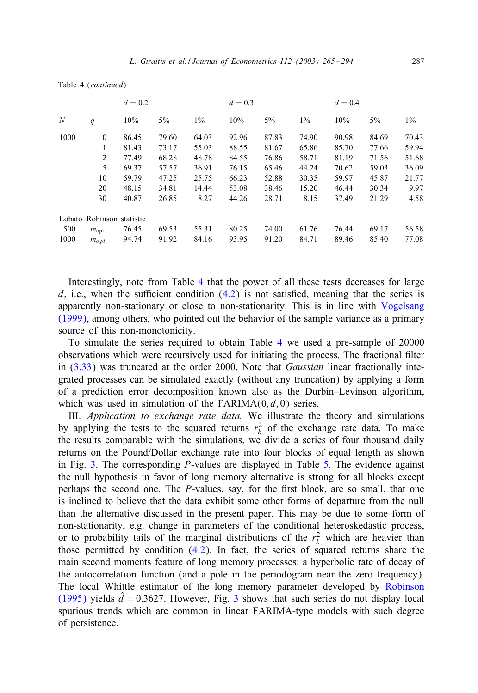Table 4 (*continued*)

|      |                  | $d = 0.2$                 |       |       | $d = 0.3$ |       |       | $d=0.4$ |       |       |
|------|------------------|---------------------------|-------|-------|-----------|-------|-------|---------|-------|-------|
| N    | q                | 10%                       | $5\%$ | $1\%$ | 10%       | $5\%$ | $1\%$ | 10%     | $5\%$ | $1\%$ |
| 1000 | $\Omega$         | 86.45                     | 79.60 | 64.03 | 92.96     | 87.83 | 74.90 | 90.98   | 84.69 | 70.43 |
|      | 1                | 81.43                     | 73.17 | 55.03 | 88.55     | 81.67 | 65.86 | 85.70   | 77.66 | 59.94 |
|      | 2                | 77.49                     | 68.28 | 48.78 | 84.55     | 76.86 | 58.71 | 81.19   | 71.56 | 51.68 |
|      | 5                | 69.37                     | 57.57 | 36.91 | 76.15     | 65.46 | 44.24 | 70.62   | 59.03 | 36.09 |
|      | 10               | 59.79                     | 47.25 | 25.75 | 66.23     | 52.88 | 30.35 | 59.97   | 45.87 | 21.77 |
|      | 20               | 48.15                     | 34.81 | 14.44 | 53.08     | 38.46 | 15.20 | 46.44   | 30.34 | 9.97  |
|      | 30               | 40.87                     | 26.85 | 8.27  | 44.26     | 28.71 | 8.15  | 37.49   | 21.29 | 4.58  |
|      |                  | Lobato–Robinson statistic |       |       |           |       |       |         |       |       |
| 500  | $m_{\text{opt}}$ | 76.45                     | 69.53 | 55.31 | 80.25     | 74.00 | 61.76 | 76.44   | 69.17 | 56.58 |
| 1000 | $m_{opt}$        | 94.74                     | 91.92 | 84.16 | 93.95     | 91.20 | 84.71 | 89.46   | 85.40 | 77.08 |

Interestingly, note from Table 4 that the power [of](#page-21-0) all these tests decreases for large  $d$ , i.e., when the sufficient condition  $(4.2)$  is not satisfied, meaning that the series is app[arent](#page-12-0)ly non-stationary or close to non-stationarity. This is in line with Vogelsang (1999), among others, who pointed out the behavior of the sample variance as a primary source of this non-monotonicity.

To simulate the series required to obtain Table 4 we used a pre-sample of 20000 observations which were recursively used for initiating the process. The fractional filter in (3.33) was truncated at the order 2000. Note that *Gaussian* linear fractionally integrated processes can be simulated exactly (without any truncation) by applying a form of a prediction error decomposition known also as the Dur[bin](#page-23-0)–Levinson algorithm, which [wa](#page-23-0)s used in simulation of the  $FARIMA(0, d, 0)$  series.

III. *Application to exchange rate data.* We illustrate the theory and simulations by applying the tests to the squared returns  $r_k^2$  of the exchange rate data. To make the results comparable with the simulations, we divide a series of four thousand daily returns on the Pound/Dollar exchange rate into four blocks of equal length as shown in Fig. 3. The corresponding *-values are displayed in Table 5. The evidence against* the null hypothesis in favor of long memory alternative is strong for all blocks except perhaps the second one. The  $P$ [-val](#page-20-0)ues, say, for the first block, are so small, that one is inclined to believe that the data exhibit some other forms of departure from the null than the alternative discussed in the present paper. This may be due to some form of non-stationarity, e.g. change in parameters of the conditional heteroskedasti[c](#page-29-0) [process,](#page-29-0) [or to p](#page-29-0)robability tails of the marginal d[ist](#page-23-0)ributions of the  $r_k^2$  which are heavier than those permitted by condition  $(4.2)$ . In fact, the series of squared returns share the main second moments feature of long memory processes: a hyperbolic rate of decay of the autocorrelation function (and a pole in the periodogram near the zero frequency). The local Whittle estimator of the long memory parameter developed by Robinson (1995) yields  $d = 0.3627$ . However, Fig. 3 shows that such series do not display local spurious trends which are common in linear FARIMA-type models with such degree of persistence.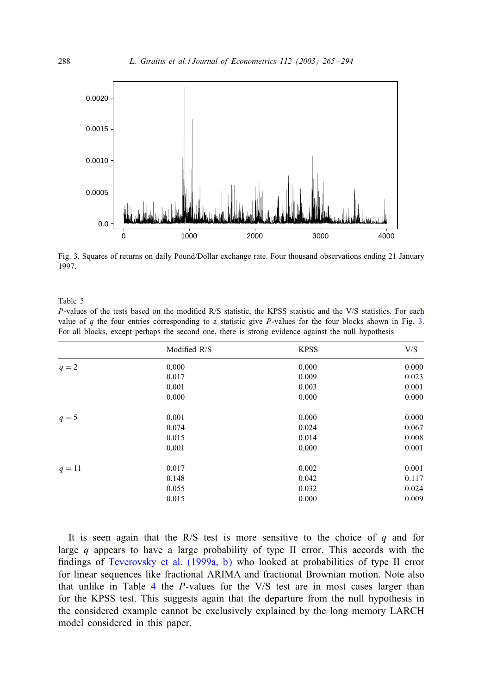

Fig. 3. Squares of returns on daily Pound/Dollar exchange rate. Four thousand observations ending 21 January 1997.

#### Table 5

P-values of the tests based on the modified R/S statistic, the KPSS statistic and the V/S statistics. For each value of q the four entries corresponding to a statistic give P-values for the four blocks shown in Fig. 3. For all blocks, except perhaps the second one, there is strong evidence against the null hypothesis

|          | Modified R/S | <b>KPSS</b> | V/S   |
|----------|--------------|-------------|-------|
| $q=2$    | 0.000        | 0.000       | 0.000 |
|          | 0.017        | 0.009       | 0.023 |
|          | 0.001        | 0.003       | 0.001 |
|          | 0.000        | 0.000       | 0.000 |
| $q=5$    | 0.001        | 0.000       | 0.000 |
|          | 0.074        | 0.024       | 0.067 |
|          | 0.015        | 0.014       | 0.008 |
|          | 0.001        | 0.000       | 0.001 |
| $q = 11$ | 0.017        | 0.002       | 0.001 |
|          | 0.148        | 0.042       | 0.117 |
|          | 0.055        | 0.032       | 0.024 |
|          | 0.015        | 0.000       | 0.009 |

It is seen again that the R/S test is more sensitive to the choice of  $q$  and for large  $q$  appears to have a large probability of type II error. This accords with the findings of Teverovsky et al.  $(1999a, b)$  who looked at probabilities of type II error for linear sequences like fractional ARIMA and fractional Brownian motion. Note also that unlike in Table 4 the P-values for the V/S test are in most cases larger than for the KPSS test. This suggests again that the departure from the null hypothesis in the considered example cannot be exclusively explained by the long memory LARCH model considered in this paper.

<span id="page-23-0"></span>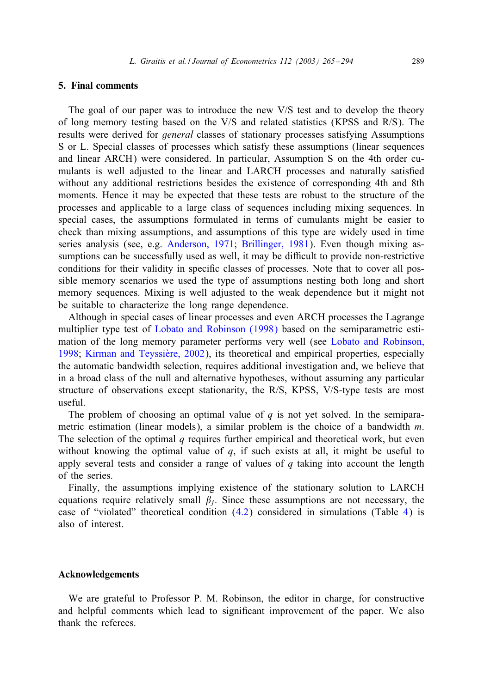#### <span id="page-24-0"></span>5. Final comments

The goal of our paper was to introduce the new V/S test and to develop the theory of long memory testing based on the V/S and related statistics (KPSS and R/S). The results were derived for *general* classes of stationary processes satisfying Assumptions S or L. Special classes of processes which satisfy these assumptions (linear sequences and linear ARCH) were considered. In particular, Assumption S on the 4th order cumulants is well adjusted to the linear and LARCH processes and naturally satisfied without any additional re[strictions besides the existence of](#page-27-0) corresponding 4th and 8th moments. Hence it may be expected that these tests are robust to the structure of the processes and applicable to a large class of sequences including mixing sequences. In special cases, the assumptions formulated in terms of cumulants might be easier to check than mixing assumptions, and assumptions of this type are widely used in time series analysis (see, e.g. Anderson, 1971; Brillinger, 1981). Even though mixing assumptions can be successfully used as well, it may be difficult to provide non-restrictive conditions for their validity in specific classes of processes. Note that to cover all possible memory scenarios we used the type of assumptions nesti[ng both long and short](#page-29-0) [memo](#page-29-0)[ry sequences. Mixing is well](#page-28-0) adjusted to the weak dependence but it might not be suitable to characterize the long range dependence.

Although in special cases of linear processes and even ARCH processes the Lagrange multiplier type test of Lobato and Robinson (1998) based on the semiparametric estimation of the long memory parameter performs very well (see Lobato and Robinson, 1998; Kirman and Teyssière, 2002), its theoretical and empirical properties, especially the automatic bandwidth selection, requires additional investigation and, we believe that in a broad class of the null and alternative hypotheses, without assuming any particular structure of observations except stationarity, the R/S, KPSS, V/S-type tests are most useful.

The problem of choosing an optimal value of  $q$  is not yet solved. In the semiparametric estimation (linear models), a similar problem is the choice of a bandwidth  $m$ . The selection of the optimal  $q$  requires further empirical and theoretical work, but even without knowing the optimal value of  $q$ [,](#page-20-0) [if](#page-20-0) such exists at all, it might be use[ful](#page-21-0) to apply several tests and consider a range of values of  $q$  taking into account the length of the series.

Finally, the assumptions implying existence of the stationary solution to LARCH equations require relatively small  $\beta_i$ . Since these assumptions are not necessary, the case of "violated" theoretical condition (4.2) considered in simulations (Table 4) is also of interest.

## Acknowledgements

We are grateful to Professor P. M. Robinson, the editor in charge, for constructive and helpful comments which lead to significant improvement of the paper. We also thank the referees.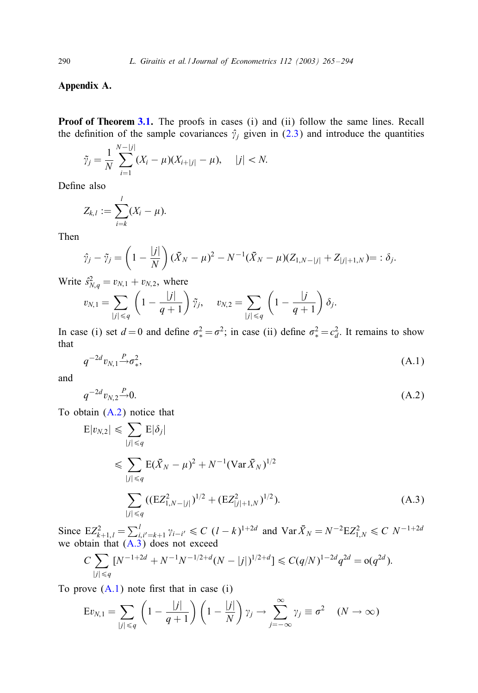## Appendix A.

Proof of Theorem 3.1. The proofs in cases (i) and (ii) follow the same lines. Recall the definition of the sample covariances  $\hat{\gamma}_j$  given in (2.3) and introduce the quantities

$$
\tilde{\gamma}_j = \frac{1}{N} \sum_{i=1}^{N-|j|} (X_i - \mu)(X_{i+|j|} - \mu), \quad |j| < N.
$$

Define also

$$
Z_{k,l}:=\sum_{i=k}^l(X_i-\mu).
$$

Then

$$
\hat{\gamma}_j - \tilde{\gamma}_j = \left(1 - \frac{|j|}{N}\right)(\bar{X}_N - \mu)^2 - N^{-1}(\bar{X}_N - \mu)(Z_{1,N-|j|} + Z_{|j|+1,N}) = : \delta_j.
$$

Write  $\hat{s}_{N,q}^2 = v_{N,1} + v_{N,2}$ , where

$$
v_{N,1} = \sum_{|j| \leq q} \left(1 - \frac{|j|}{q+1}\right) \tilde{\gamma}_j, \quad v_{N,2} = \sum_{|j| \leq q} \left(1 - \frac{|j|}{q+1}\right) \delta_j.
$$

In case (i) set  $d = 0$  and define  $\sigma_*^2 = \sigma^2$ ; in case (ii) define  $\sigma_*^2 = c_d^2$ . It remains to show that

$$
q^{-2d}v_{N,1} \stackrel{P}{\rightarrow} \sigma_x^2, \tag{A.1}
$$

and

$$
q^{-2d}v_{N,2} \stackrel{P}{\longrightarrow} 0. \tag{A.2}
$$

To obtain (A.2) notice that

$$
E|v_{N,2}| \leq \sum_{|j| \leq q} E|\delta_j|
$$
  
\n
$$
\leq \sum_{|j| \leq q} E(\bar{X}_N - \mu)^2 + N^{-1} (\operatorname{Var} \bar{X}_N)^{1/2}
$$
  
\n
$$
\sum_{|j| \leq q} ((EZ_{1,N-|j|}^2)^{1/2} + (EZ_{|j|+1,N}^2)^{1/2}).
$$
\n(A.3)

Since  $EZ_{k+1,l}^2 = \sum_{i,i'=k+1}^l \gamma_{i-i'} \leq C (l-k)^{1+2d}$  and  $Var \bar{X}_N = N^{-2}EZ_{1,N}^2 \leq C N^{-1+2d}$ we obtain that  $(A.3)$  does not exceed

$$
C\sum_{|j| \le q} [N^{-1+2d} + N^{-1}N^{-1/2+d}(N-|j|)^{1/2+d}] \le C(q/N)^{1-2d} q^{2d} = o(q^{2d}).
$$

To prove  $(A.1)$  note first that in case  $(i)$ 

$$
Ev_{N,1} = \sum_{|j| \le q} \left(1 - \frac{|j|}{q+1}\right) \left(1 - \frac{|j|}{N}\right) \gamma_j \to \sum_{j=-\infty}^{\infty} \gamma_j \equiv \sigma^2 \quad (N \to \infty)
$$

<span id="page-25-0"></span>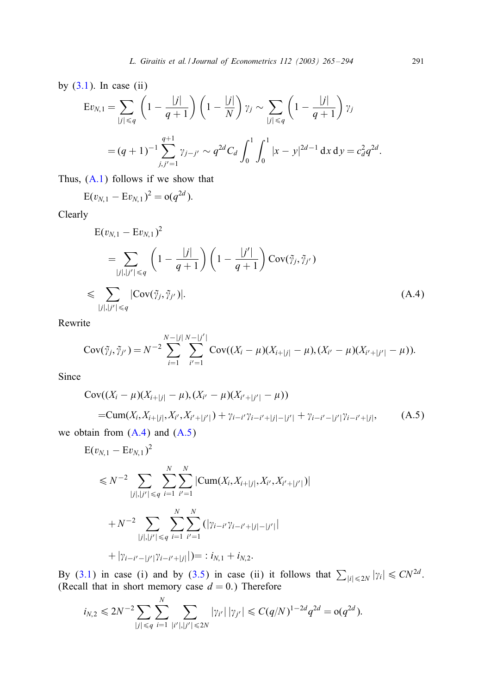by  $(3.1)$ . In case  $(ii)$ 

$$
\begin{aligned} \mathcal{E}v_{N,1} &= \sum_{|j| \le q} \left( 1 - \frac{|j|}{q+1} \right) \left( 1 - \frac{|j|}{N} \right) \gamma_j \sim \sum_{|j| \le q} \left( 1 - \frac{|j|}{q+1} \right) \gamma_j \\ &= (q+1)^{-1} \sum_{j,j'=1}^{q+1} \gamma_{j-j'} \sim q^{2d} C_d \int_0^1 \int_0^1 |x - y|^{2d-1} \, \mathrm{d}x \, \mathrm{d}y = c_d^2 q^{2d} .\end{aligned}
$$

Thus, (A.1) follows if we show that

$$
E(v_{N,1} - Ev_{N,1})^2 = o(q^{2d}).
$$

Clearly

$$
E(v_{N,1} - Ev_{N,1})^{2}
$$
\n
$$
= \sum_{|j|,|j'| \leq q} \left(1 - \frac{|j|}{q+1}\right) \left(1 - \frac{|j'|}{q+1}\right) Cov(\tilde{y}_{j}, \tilde{y}_{j'})
$$
\n
$$
\leq \sum_{|j|,|j'| \leq q} |Cov(\tilde{y}_{j}, \tilde{y}_{j'})|.
$$
\n(A.4)

Rewrite

$$
Cov(\tilde{\gamma}_j, \tilde{\gamma}_{j'}) = N^{-2} \sum_{i=1}^{N-|j|} \sum_{i'=1}^{N-|j'|} Cov((X_i - \mu)(X_{i+|j|} - \mu), (X_{i'} - \mu)(X_{i'+|j'|} - \mu)).
$$

Since

$$
Cov((X_i - \mu)(X_{i+|j|} - \mu), (X_{i'} - \mu)(X_{i'+|j'|} - \mu))
$$
  
=
$$
Cum(X_i, X_{i+|j|}, X_{i'}, X_{i'+|j'|}) + \gamma_{i-i'}\gamma_{i-i'+|j|-|j'|} + \gamma_{i-i'-|j'|}\gamma_{i-i'+|j|},
$$
 (A.5)

we obtain from  $(A.4)$  and  $(A.5)$ 

$$
E(v_{N,1} - Ev_{N,1})^{2}
$$
  
\n
$$
\leq N^{-2} \sum_{|j|,|j'| \leq q} \sum_{i=1}^{N} \sum_{i'=1}^{N} |Cum(X_{i}, X_{i+|j|}, X_{i'}, X_{i'+|j'|})|
$$
  
\n
$$
+ N^{-2} \sum_{|j|,|j'| \leq q} \sum_{i=1}^{N} \sum_{i'=1}^{N} (|\gamma_{i-i'}\gamma_{i-i'+|j|-|j'|}|
$$
  
\n
$$
+ |\gamma_{i-i'-|j'|}\gamma_{i-i'+|j|}|) = : i_{N,1} + i_{N,2}.
$$

By (3.1) in case (i) and by (3.5) in case (ii) it follows that  $\sum_{|i| \leq 2N} |\gamma_i| \leq CN^{2d}$ .<br>(Recall that in short memory case  $d = 0$ .) Therefore

$$
i_{N,2} \le 2N^{-2} \sum_{|j| \le q} \sum_{i=1}^N \sum_{|i'|,|j'| \le 2N} |\gamma_{i'}| |\gamma_{j'}| \le C(q/N)^{1-2d} q^{2d} = o(q^{2d}).
$$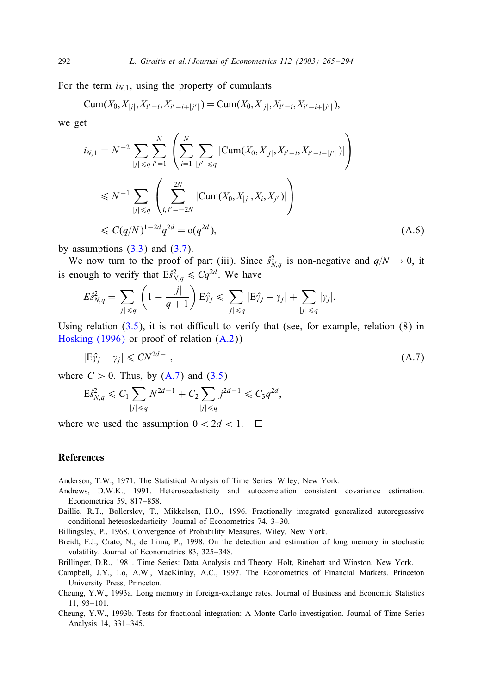For the term  $i_{N,1}$ , using the property of cumulants

$$
\text{Cum}(X_0,X_{|j|},X_{i'-i},X_{i'-i+|j'|})=\text{Cum}(X_0,X_{|j|},X_{i'-i},X_{i'-i+|j'|}),
$$

we get

$$
i_{N,1} = N^{-2} \sum_{|j| \le q} \sum_{i'=1}^{N} \left( \sum_{i=1}^{N} \sum_{|j'| \le q} |\text{Cum}(X_0, X_{|j|}, X_{i'-i}, X_{i'-i+|j'|})| \right)
$$
  

$$
\le N^{-1} \sum_{|j| \le q} \left( \sum_{i,j'=-2N}^{2N} |\text{Cum}(X_0, X_{|j|}, X_i, X_{j'})| \right)
$$
  

$$
\le C(q/N)^{1-2d} q^{2d} = o(q^{2d}), \qquad (A.6)
$$

by assumptions  $(3.3)$  and  $(3.7)$ .

We now tur[n to](#page-6-0) the proof of part (iii). Since  $\hat{s}_{N,q}^2$  is non-negative and  $q/N \to 0$ , it [is enough to ver](#page-28-0)ify that  $E \hat{s}_{N,q}^2 \leq C q^{2d}$ [. We](#page-25-0) have

$$
E\hat{s}_{N,q}^2 = \sum_{|j| \le q} \left(1 - \frac{|j|}{q+1}\right) E\hat{\gamma}_j \le \sum_{|j| \le q} |E\hat{\gamma}_j - \gamma_j| + \sum_{|j| \le q} |\gamma_j|.
$$

Using relation  $(3.5)$ , it is not difficult to verify that (see, for example, relation  $(8)$  in Hosking (1996) or proof of relation (A.2))

$$
|\mathcal{E}\hat{\gamma}_j - \gamma_j| \le CN^{2d-1},\tag{A.7}
$$

where  $C > 0$ . Thus, by  $(A.7)$  and  $(3.5)$ 

$$
E\hat{s}_{N,q}^2 \leq C_1 \sum_{|j| \leq q} N^{2d-1} + C_2 \sum_{|j| \leq q} j^{2d-1} \leq C_3 q^{2d},
$$

where we used the assumption  $0 < 2d < 1$ .  $\Box$ 

#### References

Anderson, T.W., 1971. The Statistical Analysis of Time Series. Wiley, New York.

Andrews, D.W.K., 1991. Heteroscedasticity and autocorrelation consistent covariance estimation. Econometrica 59, 817–858.

Baillie, R.T., Bollerslev, T., Mikkelsen, H.O., 1996. Fractionally integrated generalized autoregressive conditional heteroskedasticity. Journal of Econometrics 74, 3–30.

Billingsley, P., 1968. Convergence of Probability Measures. Wiley, New York.

- Breidt, F.J., Crato, N., de Lima, P., 1998. On the detection and estimation of long memory in stochastic volatility. Journal of Econometrics 83, 325–348.
- Brillinger, D.R., 1981. Time Series: Data Analysis and Theory. Holt, Rinehart and Winston, New York.
- Campbell, J.Y., Lo, A.W., MacKinlay, A.C., 1997. The Econometrics of Financial Markets. Princeton University Press, Princeton.
- Cheung, Y.W., 1993a. Long memory in foreign-exchange rates. Journal of Business and Economic Statistics 11, 93–101.
- Cheung, Y.W., 1993b. Tests for fractional integration: A Monte Carlo investigation. Journal of Time Series Analysis 14, 331–345.

<span id="page-27-0"></span>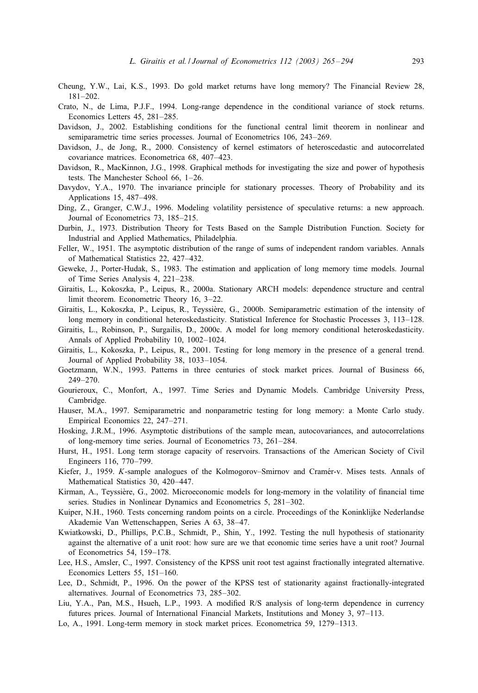- <span id="page-28-0"></span>Cheung, Y.W., Lai, K.S., 1993. Do gold market returns have long memory? The Financial Review 28, 181–202.
- Crato, N., de Lima, P.J.F., 1994. Long-range dependence in the conditional variance of stock returns. Economics Letters 45, 281–285.
- Davidson, J., 2002. Establishing conditions for the functional central limit theorem in nonlinear and semiparametric time series processes. Journal of Econometrics 106, 243–269.
- Davidson, J., de Jong, R., 2000. Consistency of kernel estimators of heteroscedastic and autocorrelated covariance matrices. Econometrica 68, 407–423.
- Davidson, R., MacKinnon, J.G., 1998. Graphical methods for investigating the size and power of hypothesis tests. The Manchester School 66, 1–26.
- Davydov, Y.A., 1970. The invariance principle for stationary processes. Theory of Probability and its Applications 15, 487–498.
- Ding, Z., Granger, C.W.J., 1996. Modeling volatility persistence of speculative returns: a new approach. Journal of Econometrics 73, 185–215.
- Durbin, J., 1973. Distribution Theory for Tests Based on the Sample Distribution Function. Society for Industrial and Applied Mathematics, Philadelphia.
- Feller, W., 1951. The asymptotic distribution of the range of sums of independent random variables. Annals of Mathematical Statistics 22, 427–432.
- Geweke, J., Porter-Hudak, S., 1983. The estimation and application of long memory time models. Journal of Time Series Analysis 4, 221–238.
- Giraitis, L., Kokoszka, P., Leipus, R., 2000a. Stationary ARCH models: dependence structure and central limit theorem. Econometric Theory 16, 3–22.
- Giraitis, L., Kokoszka, P., Leipus, R., Teyssière, G., 2000b. Semiparametric estimation of the intensity of long memory in conditional heteroskedasticity. Statistical Inference for Stochastic Processes 3, 113–128.
- Giraitis, L., Robinson, P., Surgailis, D., 2000c. A model for long memory conditional heteroskedasticity. Annals of Applied Probability 10, 1002–1024.
- Giraitis, L., Kokoszka, P., Leipus, R., 2001. Testing for long memory in the presence of a general trend. Journal of Applied Probability 38, 1033–1054.
- Goetzmann, W.N., 1993. Patterns in three centuries of stock market prices. Journal of Business 66, 249–270.
- Gourieroux, C., Monfort, A., 1997. Time Series and Dynamic Models. Cambridge University Press, Cambridge.
- Hauser, M.A., 1997. Semiparametric and nonparametric testing for long memory: a Monte Carlo study. Empirical Economics 22, 247–271.
- Hosking, J.R.M., 1996. Asymptotic distributions of the sample mean, autocovariances, and autocorrelations of long-memory time series. Journal of Econometrics 73, 261–284.
- Hurst, H., 1951. Long term storage capacity of reservoirs. Transactions of the American Society of Civil Engineers 116, 770–799.
- Kiefer, J., 1959. K-sample analogues of the Kolmogorov–Smirnov and Cramér-v. Mises tests. Annals of Mathematical Statistics 30, 420–447.
- Kirman, A., Teyssière, G., 2002. Microeconomic models for long-memory in the volatility of financial time series. Studies in Nonlinear Dynamics and Econometrics 5, 281–302.
- Kuiper, N.H., 1960. Tests concerning random points on a circle. Proceedings of the Koninklijke Nederlandse Akademie Van Wettenschappen, Series A 63, 38–47.
- Kwiatkowski, D., Phillips, P.C.B., Schmidt, P., Shin, Y., 1992. Testing the null hypothesis of stationarity against the alternative of a unit root: how sure are we that economic time series have a unit root? Journal of Econometrics 54, 159–178.
- Lee, H.S., Amsler, C., 1997. Consistency of the KPSS unit root test against fractionally integrated alternative. Economics Letters 55, 151–160.
- Lee, D., Schmidt, P., 1996. On the power of the KPSS test of stationarity against fractionally-integrated alternatives. Journal of Econometrics 73, 285–302.
- Liu, Y.A., Pan, M.S., Hsueh, L.P., 1993. A modified R/S analysis of long-term dependence in currency futures prices. Journal of International Financial Markets, Institutions and Money 3, 97–113.
- Lo, A., 1991. Long-term memory in stock market prices. Econometrica 59, 1279–1313.